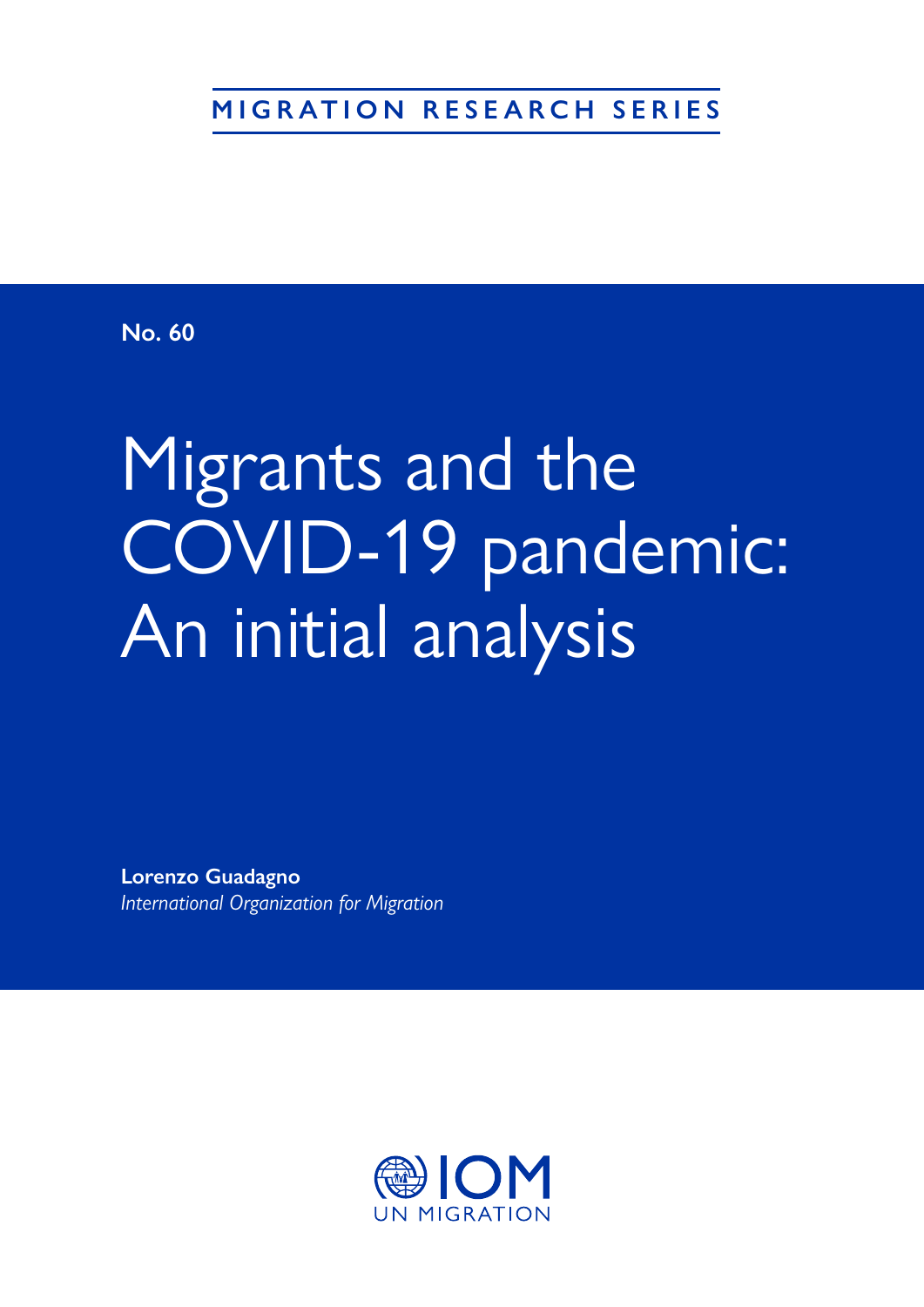**MIGRATION RESEARCH SERIES**

**No. 60**

# Migrants and the COVID-19 pandemic: An initial analysis

**Lorenzo Guadagno**  *International Organization for Migration* 

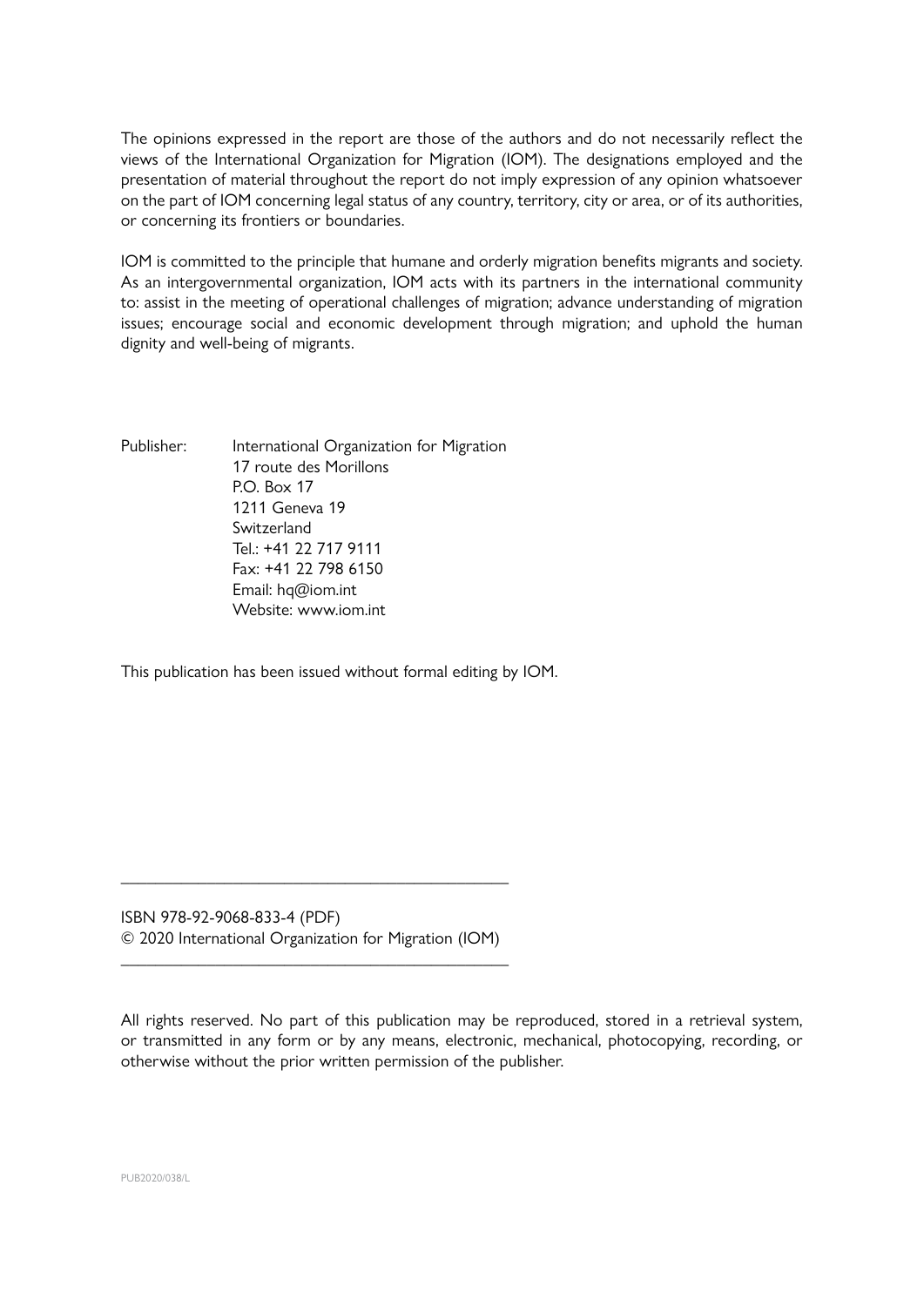The opinions expressed in the report are those of the authors and do not necessarily reflect the views of the International Organization for Migration (IOM). The designations employed and the presentation of material throughout the report do not imply expression of any opinion whatsoever on the part of IOM concerning legal status of any country, territory, city or area, or of its authorities, or concerning its frontiers or boundaries.

IOM is committed to the principle that humane and orderly migration benefits migrants and society. As an intergovernmental organization, IOM acts with its partners in the international community to: assist in the meeting of operational challenges of migration; advance understanding of migration issues; encourage social and economic development through migration; and uphold the human dignity and well-being of migrants.

Publisher: International Organization for Migration 17 route des Morillons  $PO$  Box 17 1211 Geneva 19 Switzerland Tel.: +41 22 717 9111 Fax: +41 22 798 6150 Email: hq@iom.int Website: www.iom.int

This publication has been issued without formal editing by IOM.

ISBN 978-92-9068-833-4 (PDF) © 2020 International Organization for Migration (IOM)

\_\_\_\_\_\_\_\_\_\_\_\_\_\_\_\_\_\_\_\_\_\_\_\_\_\_\_\_\_\_\_\_\_\_\_\_\_\_\_\_\_\_\_\_\_

\_\_\_\_\_\_\_\_\_\_\_\_\_\_\_\_\_\_\_\_\_\_\_\_\_\_\_\_\_\_\_\_\_\_\_\_\_\_\_\_\_\_\_\_\_

All rights reserved. No part of this publication may be reproduced, stored in a retrieval system, or transmitted in any form or by any means, electronic, mechanical, photocopying, recording, or otherwise without the prior written permission of the publisher.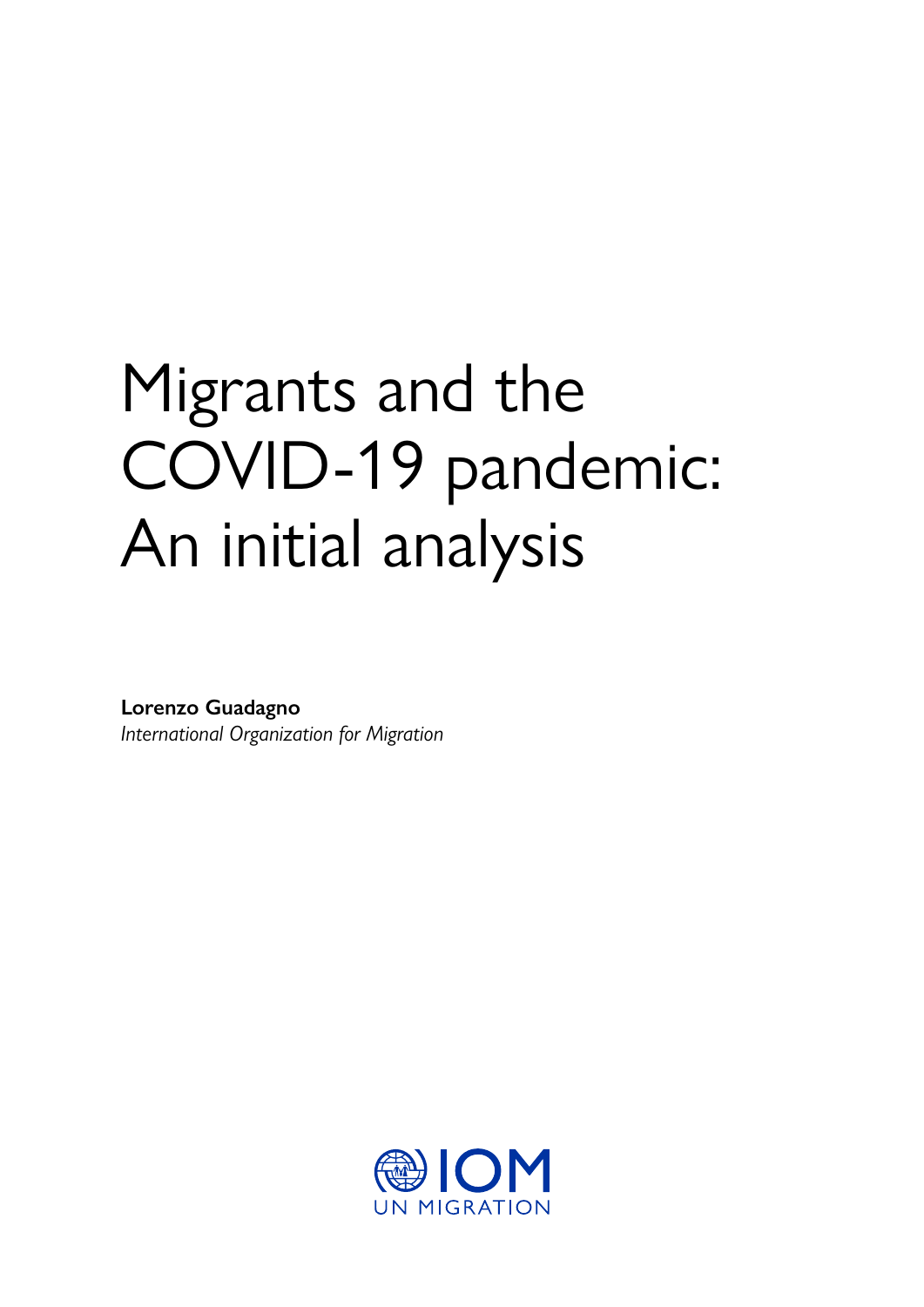# Migrants and the COVID-19 pandemic: An initial analysis

**Lorenzo Guadagno**  *International Organization for Migration* 

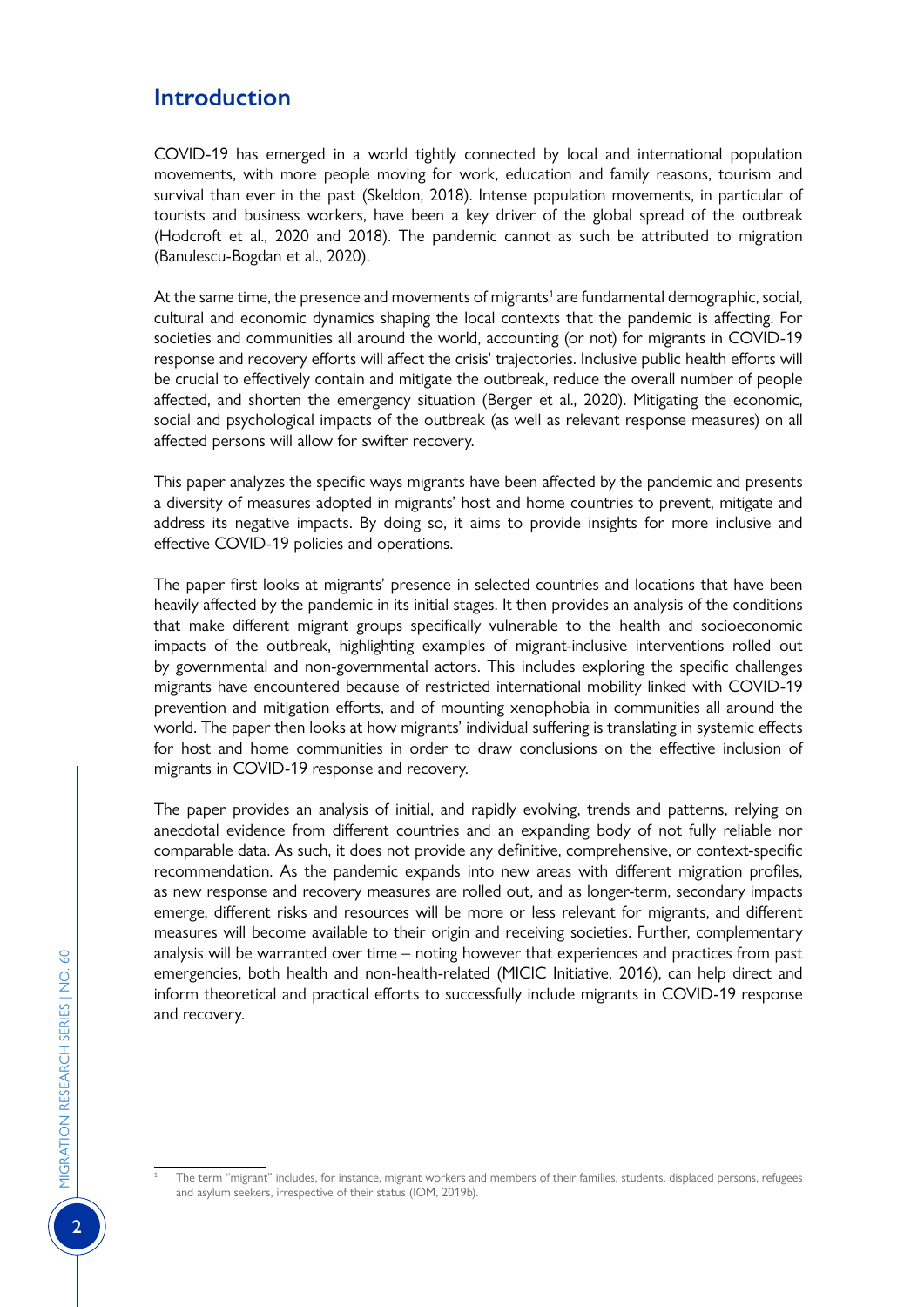# **Introduction**

COVID-19 has emerged in a world tightly connected by local and international population movements, with more people moving for work, education and family reasons, tourism and survival than ever in the past (Skeldon, 2018). Intense population movements, in particular of tourists and business workers, have been a key driver of the global spread of the outbreak (Hodcroft et al., 2020 and 2018). The pandemic cannot as such be attributed to migration (Banulescu-Bogdan et al., 2020).

At the same time, the presence and movements of migrants<sup>1</sup> are fundamental demographic, social, cultural and economic dynamics shaping the local contexts that the pandemic is affecting. For societies and communities all around the world, accounting (or not) for migrants in COVID-19 response and recovery efforts will affect the crisis' trajectories. Inclusive public health efforts will be crucial to effectively contain and mitigate the outbreak, reduce the overall number of people affected, and shorten the emergency situation (Berger et al., 2020). Mitigating the economic, social and psychological impacts of the outbreak (as well as relevant response measures) on all affected persons will allow for swifter recovery.

This paper analyzes the specific ways migrants have been affected by the pandemic and presents a diversity of measures adopted in migrants' host and home countries to prevent, mitigate and address its negative impacts. By doing so, it aims to provide insights for more inclusive and effective COVID-19 policies and operations.

The paper first looks at migrants' presence in selected countries and locations that have been heavily affected by the pandemic in its initial stages. It then provides an analysis of the conditions that make different migrant groups specifically vulnerable to the health and socioeconomic impacts of the outbreak, highlighting examples of migrant-inclusive interventions rolled out by governmental and non-governmental actors. This includes exploring the specific challenges migrants have encountered because of restricted international mobility linked with COVID-19 prevention and mitigation efforts, and of mounting xenophobia in communities all around the world. The paper then looks at how migrants' individual suffering is translating in systemic effects for host and home communities in order to draw conclusions on the effective inclusion of migrants in COVID-19 response and recovery.

The paper provides an analysis of initial, and rapidly evolving, trends and patterns, relying on anecdotal evidence from different countries and an expanding body of not fully reliable nor comparable data. As such, it does not provide any definitive, comprehensive, or context-specific recommendation. As the pandemic expands into new areas with different migration profiles, as new response and recovery measures are rolled out, and as longer-term, secondary impacts emerge, different risks and resources will be more or less relevant for migrants, and different measures will become available to their origin and receiving societies. Further, complementary analysis will be warranted over time – noting however that experiences and practices from past emergencies, both health and non-health-related (MICIC Initiative, 2016), can help direct and inform theoretical and practical efforts to successfully include migrants in COVID-19 response and recovery.

The term "migrant" includes, for instance, migrant workers and members of their families, students, displaced persons, refugees and asylum seekers, irrespective of their status (IOM, 2019b).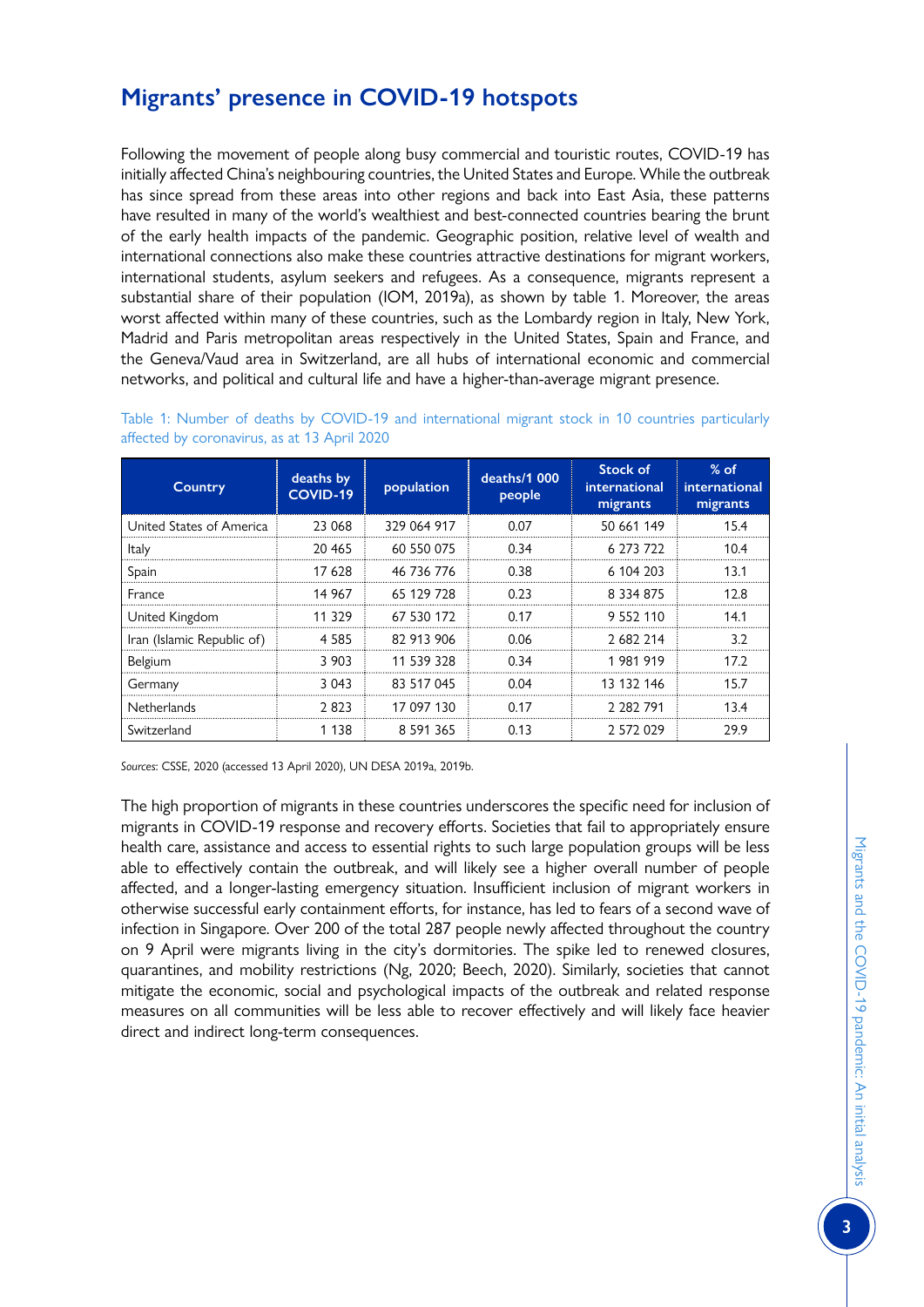# **Migrants' presence in COVID-19 hotspots**

Following the movement of people along busy commercial and touristic routes, COVID-19 has initially affected China's neighbouring countries, the United States and Europe. While the outbreak has since spread from these areas into other regions and back into East Asia, these patterns have resulted in many of the world's wealthiest and best-connected countries bearing the brunt of the early health impacts of the pandemic. Geographic position, relative level of wealth and international connections also make these countries attractive destinations for migrant workers, international students, asylum seekers and refugees. As a consequence, migrants represent a substantial share of their population (IOM, 2019a), as shown by table 1. Moreover, the areas worst affected within many of these countries, such as the Lombardy region in Italy, New York, Madrid and Paris metropolitan areas respectively in the United States, Spain and France, and the Geneva/Vaud area in Switzerland, are all hubs of international economic and commercial networks, and political and cultural life and have a higher-than-average migrant presence.

| Country                    | deaths by<br><b>COVID-19</b> | population    | deaths/1 000<br>people | Stock of<br>international<br>migrants | $%$ of<br>international<br>migrants |
|----------------------------|------------------------------|---------------|------------------------|---------------------------------------|-------------------------------------|
| United States of America   | 23 068                       | 329 064 917   | 0.07                   | 50 661 149                            | 15.4                                |
| <b>Italy</b>               | 20 465                       | 60 550 075    | 0.34                   | 6 273 722                             | 10.4                                |
| Spain                      | 17 628                       | 46 736 776    | 0.38                   | 6 104 203                             | 13.1                                |
| France                     | 14 967                       | 65 129 728    | 0.23                   | 8 334 875                             | 12.8                                |
| United Kingdom             | 11 329                       | 67 530 172    | 0.17                   | 9 552 110                             | 14.1                                |
| Iran (Islamic Republic of) | 4.585                        | 82 913 906    | 0.06                   | 2 682 214                             | 3.2                                 |
| Belgium                    | 3 903                        | 11 539 328    | 0.34                   | 1981919                               | 172                                 |
| Germany                    | 3 043                        | 83 517 045    | 0.04                   | 13 132 146                            | 15.7                                |
| <b>Netherlands</b>         | 2823                         | 17 097 130    | 0.17                   | 2 282 791                             | 13.4                                |
| Switzerland                | 1 1 3 8                      | 8 5 9 1 3 6 5 | 0.13                   | 2 572 029                             | 29.9                                |

Table 1: Number of deaths by COVID-19 and international migrant stock in 10 countries particularly affected by coronavirus, as at 13 April 2020

*Sources*: CSSE, 2020 (accessed 13 April 2020), UN DESA 2019a, 2019b.

The high proportion of migrants in these countries underscores the specific need for inclusion of migrants in COVID-19 response and recovery efforts. Societies that fail to appropriately ensure health care, assistance and access to essential rights to such large population groups will be less able to effectively contain the outbreak, and will likely see a higher overall number of people affected, and a longer-lasting emergency situation. Insufficient inclusion of migrant workers in otherwise successful early containment efforts, for instance, has led to fears of a second wave of infection in Singapore. Over 200 of the total 287 people newly affected throughout the country on 9 April were migrants living in the city's dormitories. The spike led to renewed closures, quarantines, and mobility restrictions (Ng, 2020; Beech, 2020). Similarly, societies that cannot mitigate the economic, social and psychological impacts of the outbreak and related response measures on all communities will be less able to recover effectively and will likely face heavier direct and indirect long-term consequences.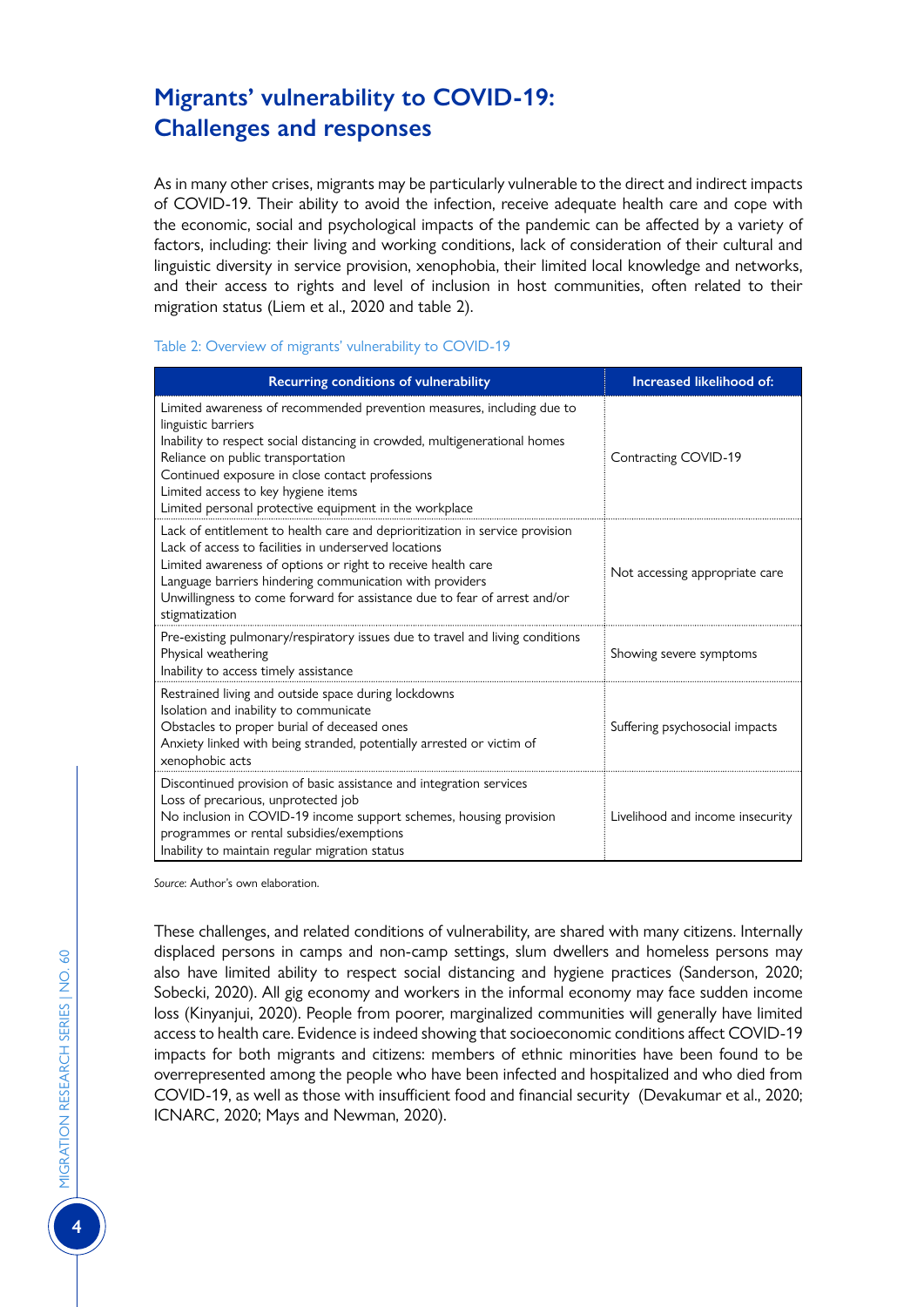# **Migrants' vulnerability to COVID-19: Challenges and responses**

As in many other crises, migrants may be particularly vulnerable to the direct and indirect impacts of COVID-19. Their ability to avoid the infection, receive adequate health care and cope with the economic, social and psychological impacts of the pandemic can be affected by a variety of factors, including: their living and working conditions, lack of consideration of their cultural and linguistic diversity in service provision, xenophobia, their limited local knowledge and networks, and their access to rights and level of inclusion in host communities, often related to their migration status (Liem et al., 2020 and table 2).

#### Table 2: Overview of migrants' vulnerability to COVID-19

| Recurring conditions of vulnerability                                                                                                                                                                                                                                                                                                                                | Increased likelihood of:         |  |
|----------------------------------------------------------------------------------------------------------------------------------------------------------------------------------------------------------------------------------------------------------------------------------------------------------------------------------------------------------------------|----------------------------------|--|
| Limited awareness of recommended prevention measures, including due to<br>linguistic barriers<br>Inability to respect social distancing in crowded, multigenerational homes<br>Reliance on public transportation<br>Continued exposure in close contact professions<br>Limited access to key hygiene items<br>Limited personal protective equipment in the workplace | Contracting COVID-19             |  |
| Lack of entitlement to health care and deprioritization in service provision<br>Lack of access to facilities in underserved locations<br>Limited awareness of options or right to receive health care<br>Language barriers hindering communication with providers<br>Unwillingness to come forward for assistance due to fear of arrest and/or<br>stigmatization     | Not accessing appropriate care   |  |
| Pre-existing pulmonary/respiratory issues due to travel and living conditions<br>Physical weathering<br>Inability to access timely assistance                                                                                                                                                                                                                        | Showing severe symptoms          |  |
| Restrained living and outside space during lockdowns<br>Isolation and inability to communicate<br>Obstacles to proper burial of deceased ones<br>Anxiety linked with being stranded, potentially arrested or victim of<br>xenophobic acts                                                                                                                            | Suffering psychosocial impacts   |  |
| Discontinued provision of basic assistance and integration services<br>Loss of precarious, unprotected job<br>No inclusion in COVID-19 income support schemes, housing provision<br>programmes or rental subsidies/exemptions<br>Inability to maintain regular migration status                                                                                      | Livelihood and income insecurity |  |

*Source*: Author's own elaboration.

These challenges, and related conditions of vulnerability, are shared with many citizens. Internally displaced persons in camps and non-camp settings, slum dwellers and homeless persons may also have limited ability to respect social distancing and hygiene practices (Sanderson, 2020; Sobecki, 2020). All gig economy and workers in the informal economy may face sudden income loss (Kinyanjui, 2020). People from poorer, marginalized communities will generally have limited access to health care. Evidence is indeed showing that socioeconomic conditions affect COVID-19 impacts for both migrants and citizens: members of ethnic minorities have been found to be overrepresented among the people who have been infected and hospitalized and who died from COVID-19, as well as those with insufficient food and financial security (Devakumar et al., 2020; ICNARC, 2020; Mays and Newman, 2020).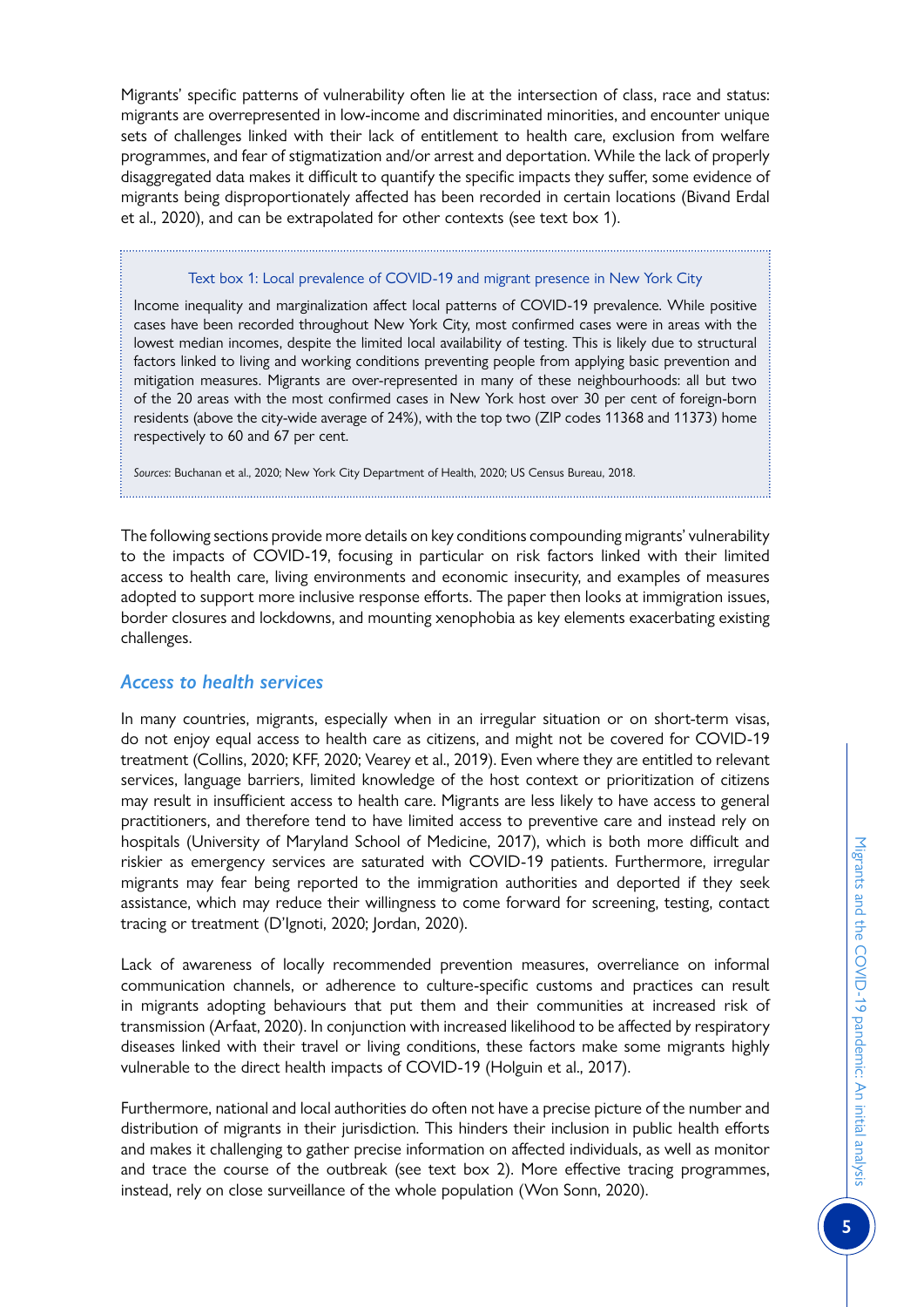Migrants' specific patterns of vulnerability often lie at the intersection of class, race and status: migrants are overrepresented in low-income and discriminated minorities, and encounter unique sets of challenges linked with their lack of entitlement to health care, exclusion from welfare programmes, and fear of stigmatization and/or arrest and deportation. While the lack of properly disaggregated data makes it difficult to quantify the specific impacts they suffer, some evidence of migrants being disproportionately affected has been recorded in certain locations (Bivand Erdal et al., 2020), and can be extrapolated for other contexts (see text box 1).

#### Text box 1: Local prevalence of COVID-19 and migrant presence in New York City

Income inequality and marginalization affect local patterns of COVID-19 prevalence. While positive cases have been recorded throughout New York City, most confirmed cases were in areas with the lowest median incomes, despite the limited local availability of testing. This is likely due to structural factors linked to living and working conditions preventing people from applying basic prevention and mitigation measures. Migrants are over-represented in many of these neighbourhoods: all but two of the 20 areas with the most confirmed cases in New York host over 30 per cent of foreign-born residents (above the city-wide average of 24%), with the top two (ZIP codes 11368 and 11373) home respectively to 60 and 67 per cent.

*Sources*: Buchanan et al., 2020; New York City Department of Health, 2020; US Census Bureau, 2018.

The following sections provide more details on key conditions compounding migrants' vulnerability to the impacts of COVID-19, focusing in particular on risk factors linked with their limited access to health care, living environments and economic insecurity, and examples of measures adopted to support more inclusive response efforts. The paper then looks at immigration issues, border closures and lockdowns, and mounting xenophobia as key elements exacerbating existing challenges.

# *Access to health services*

In many countries, migrants, especially when in an irregular situation or on short-term visas, do not enjoy equal access to health care as citizens, and might not be covered for COVID-19 treatment (Collins, 2020; KFF, 2020; Vearey et al., 2019). Even where they are entitled to relevant services, language barriers, limited knowledge of the host context or prioritization of citizens may result in insufficient access to health care. Migrants are less likely to have access to general practitioners, and therefore tend to have limited access to preventive care and instead rely on hospitals (University of Maryland School of Medicine, 2017), which is both more difficult and riskier as emergency services are saturated with COVID-19 patients. Furthermore, irregular migrants may fear being reported to the immigration authorities and deported if they seek assistance, which may reduce their willingness to come forward for screening, testing, contact tracing or treatment (D'Ignoti, 2020; Jordan, 2020).

Lack of awareness of locally recommended prevention measures, overreliance on informal communication channels, or adherence to culture-specific customs and practices can result in migrants adopting behaviours that put them and their communities at increased risk of transmission (Arfaat, 2020). In conjunction with increased likelihood to be affected by respiratory diseases linked with their travel or living conditions, these factors make some migrants highly vulnerable to the direct health impacts of COVID-19 (Holguin et al., 2017).

Furthermore, national and local authorities do often not have a precise picture of the number and distribution of migrants in their jurisdiction. This hinders their inclusion in public health efforts and makes it challenging to gather precise information on affected individuals, as well as monitor and trace the course of the outbreak (see text box 2). More effective tracing programmes, instead, rely on close surveillance of the whole population (Won Sonn, 2020).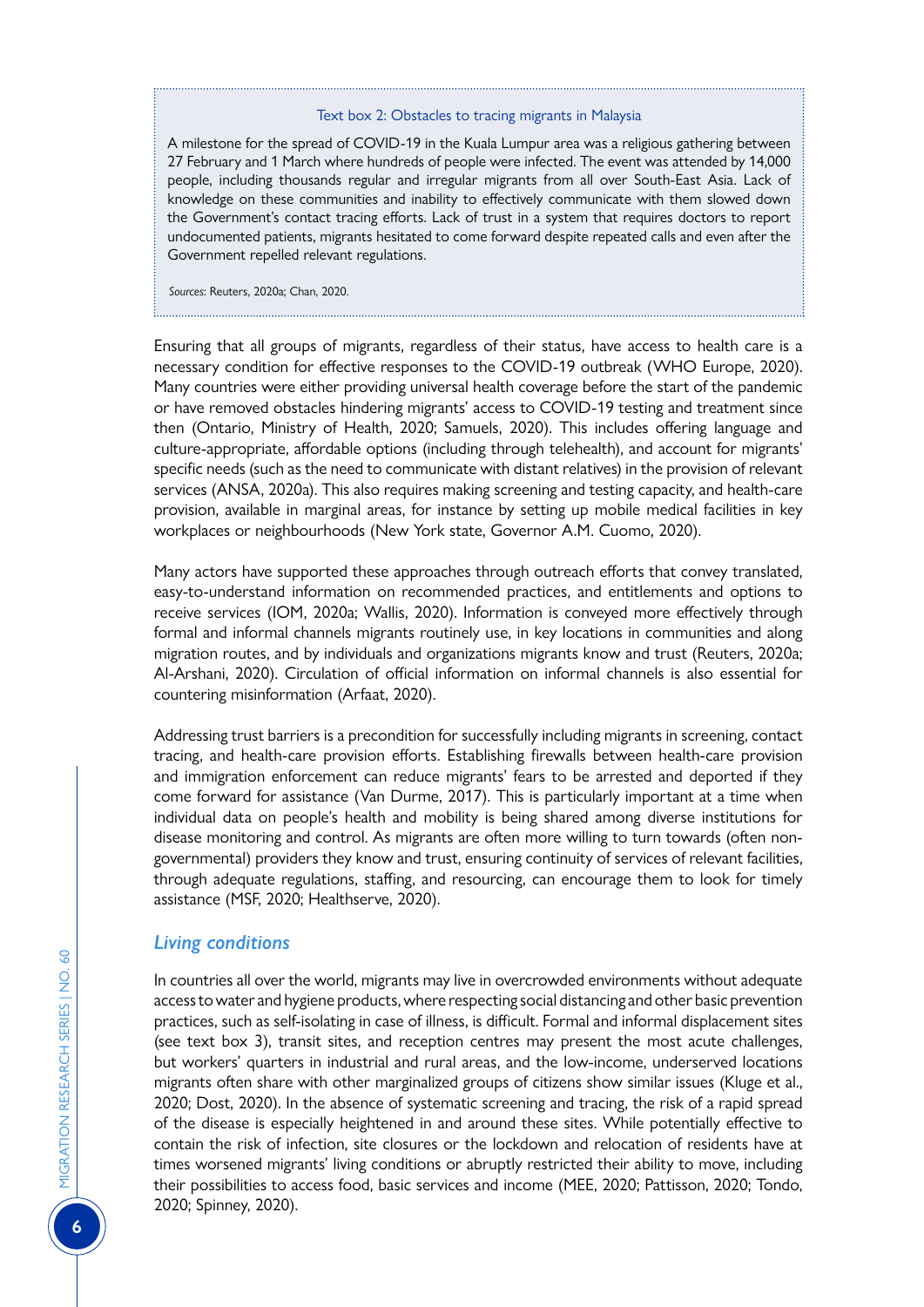#### Text box 2: Obstacles to tracing migrants in Malaysia

A milestone for the spread of COVID-19 in the Kuala Lumpur area was a religious gathering between 27 February and 1 March where hundreds of people were infected. The event was attended by 14,000 people, including thousands regular and irregular migrants from all over South-East Asia. Lack of knowledge on these communities and inability to effectively communicate with them slowed down the Government's contact tracing efforts. Lack of trust in a system that requires doctors to report undocumented patients, migrants hesitated to come forward despite repeated calls and even after the Government repelled relevant regulations.

*Sources*: Reuters, 2020a; Chan, 2020.

Ensuring that all groups of migrants, regardless of their status, have access to health care is a necessary condition for effective responses to the COVID-19 outbreak (WHO Europe, 2020). Many countries were either providing universal health coverage before the start of the pandemic or have removed obstacles hindering migrants' access to COVID-19 testing and treatment since then (Ontario, Ministry of Health, 2020; Samuels, 2020). This includes offering language and culture-appropriate, affordable options (including through telehealth), and account for migrants' specific needs (such as the need to communicate with distant relatives) in the provision of relevant services (ANSA, 2020a). This also requires making screening and testing capacity, and health-care provision, available in marginal areas, for instance by setting up mobile medical facilities in key workplaces or neighbourhoods (New York state, Governor A.M. Cuomo, 2020).

Many actors have supported these approaches through outreach efforts that convey translated, easy-to-understand information on recommended practices, and entitlements and options to receive services (IOM, 2020a; Wallis, 2020). Information is conveyed more effectively through formal and informal channels migrants routinely use, in key locations in communities and along migration routes, and by individuals and organizations migrants know and trust (Reuters, 2020a; Al-Arshani, 2020). Circulation of official information on informal channels is also essential for countering misinformation (Arfaat, 2020).

Addressing trust barriers is a precondition for successfully including migrants in screening, contact tracing, and health-care provision efforts. Establishing firewalls between health-care provision and immigration enforcement can reduce migrants' fears to be arrested and deported if they come forward for assistance (Van Durme, 2017). This is particularly important at a time when individual data on people's health and mobility is being shared among diverse institutions for disease monitoring and control. As migrants are often more willing to turn towards (often nongovernmental) providers they know and trust, ensuring continuity of services of relevant facilities, through adequate regulations, staffing, and resourcing, can encourage them to look for timely assistance (MSF, 2020; Healthserve, 2020).

# *Living conditions*

In countries all over the world, migrants may live in overcrowded environments without adequate access to water and hygiene products, where respecting social distancing and other basic prevention practices, such as self-isolating in case of illness, is difficult. Formal and informal displacement sites (see text box 3), transit sites, and reception centres may present the most acute challenges, but workers' quarters in industrial and rural areas, and the low-income, underserved locations migrants often share with other marginalized groups of citizens show similar issues (Kluge et al., 2020; Dost, 2020). In the absence of systematic screening and tracing, the risk of a rapid spread of the disease is especially heightened in and around these sites. While potentially effective to contain the risk of infection, site closures or the lockdown and relocation of residents have at times worsened migrants' living conditions or abruptly restricted their ability to move, including their possibilities to access food, basic services and income (MEE, 2020; Pattisson, 2020; Tondo, 2020; Spinney, 2020).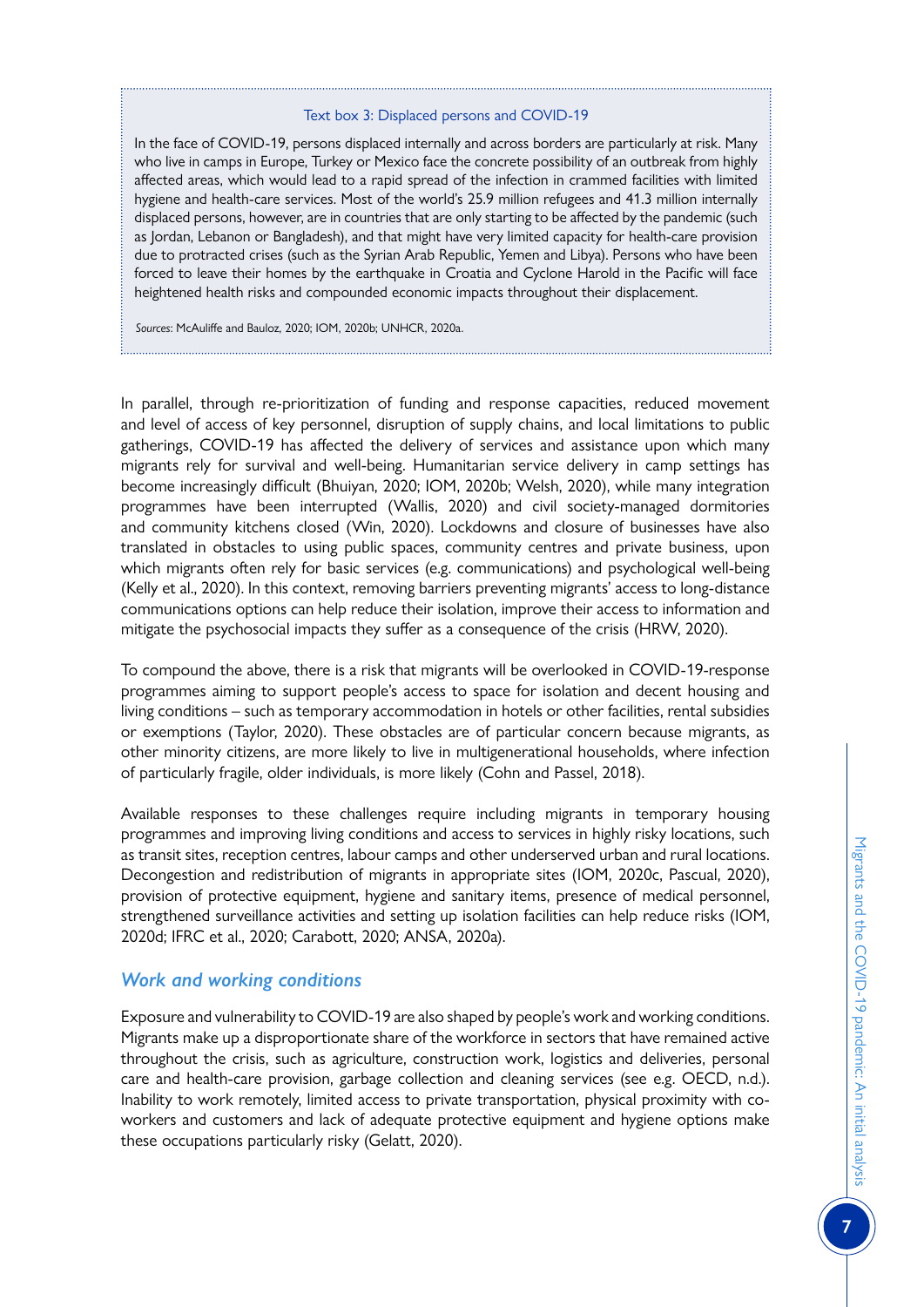#### Text box 3: Displaced persons and COVID-19

In the face of COVID-19, persons displaced internally and across borders are particularly at risk. Many who live in camps in Europe, Turkey or Mexico face the concrete possibility of an outbreak from highly affected areas, which would lead to a rapid spread of the infection in crammed facilities with limited hygiene and health-care services. Most of the world's 25.9 million refugees and 41.3 million internally displaced persons, however, are in countries that are only starting to be affected by the pandemic (such as Jordan, Lebanon or Bangladesh), and that might have very limited capacity for health-care provision due to protracted crises (such as the Syrian Arab Republic, Yemen and Libya). Persons who have been forced to leave their homes by the earthquake in Croatia and Cyclone Harold in the Pacific will face heightened health risks and compounded economic impacts throughout their displacement.

*Sources*: McAuliffe and Bauloz, 2020; IOM, 2020b; UNHCR, 2020a.

In parallel, through re-prioritization of funding and response capacities, reduced movement and level of access of key personnel, disruption of supply chains, and local limitations to public gatherings, COVID-19 has affected the delivery of services and assistance upon which many migrants rely for survival and well-being. Humanitarian service delivery in camp settings has become increasingly difficult (Bhuiyan, 2020; IOM, 2020b; Welsh, 2020), while many integration programmes have been interrupted (Wallis, 2020) and civil society-managed dormitories and community kitchens closed (Win, 2020). Lockdowns and closure of businesses have also translated in obstacles to using public spaces, community centres and private business, upon which migrants often rely for basic services (e.g. communications) and psychological well-being (Kelly et al., 2020). In this context, removing barriers preventing migrants' access to long-distance communications options can help reduce their isolation, improve their access to information and mitigate the psychosocial impacts they suffer as a consequence of the crisis (HRW, 2020).

To compound the above, there is a risk that migrants will be overlooked in COVID-19-response programmes aiming to support people's access to space for isolation and decent housing and living conditions – such as temporary accommodation in hotels or other facilities, rental subsidies or exemptions (Taylor, 2020). These obstacles are of particular concern because migrants, as other minority citizens, are more likely to live in multigenerational households, where infection of particularly fragile, older individuals, is more likely (Cohn and Passel, 2018).

Available responses to these challenges require including migrants in temporary housing programmes and improving living conditions and access to services in highly risky locations, such as transit sites, reception centres, labour camps and other underserved urban and rural locations. Decongestion and redistribution of migrants in appropriate sites (IOM, 2020c, Pascual, 2020), provision of protective equipment, hygiene and sanitary items, presence of medical personnel, strengthened surveillance activities and setting up isolation facilities can help reduce risks (IOM, 2020d; IFRC et al., 2020; Carabott, 2020; ANSA, 2020a).

# *Work and working conditions*

Exposure and vulnerability to COVID-19 are also shaped by people's work and working conditions. Migrants make up a disproportionate share of the workforce in sectors that have remained active throughout the crisis, such as agriculture, construction work, logistics and deliveries, personal care and health-care provision, garbage collection and cleaning services (see e.g. OECD, n.d.). Inability to work remotely, limited access to private transportation, physical proximity with coworkers and customers and lack of adequate protective equipment and hygiene options make these occupations particularly risky (Gelatt, 2020).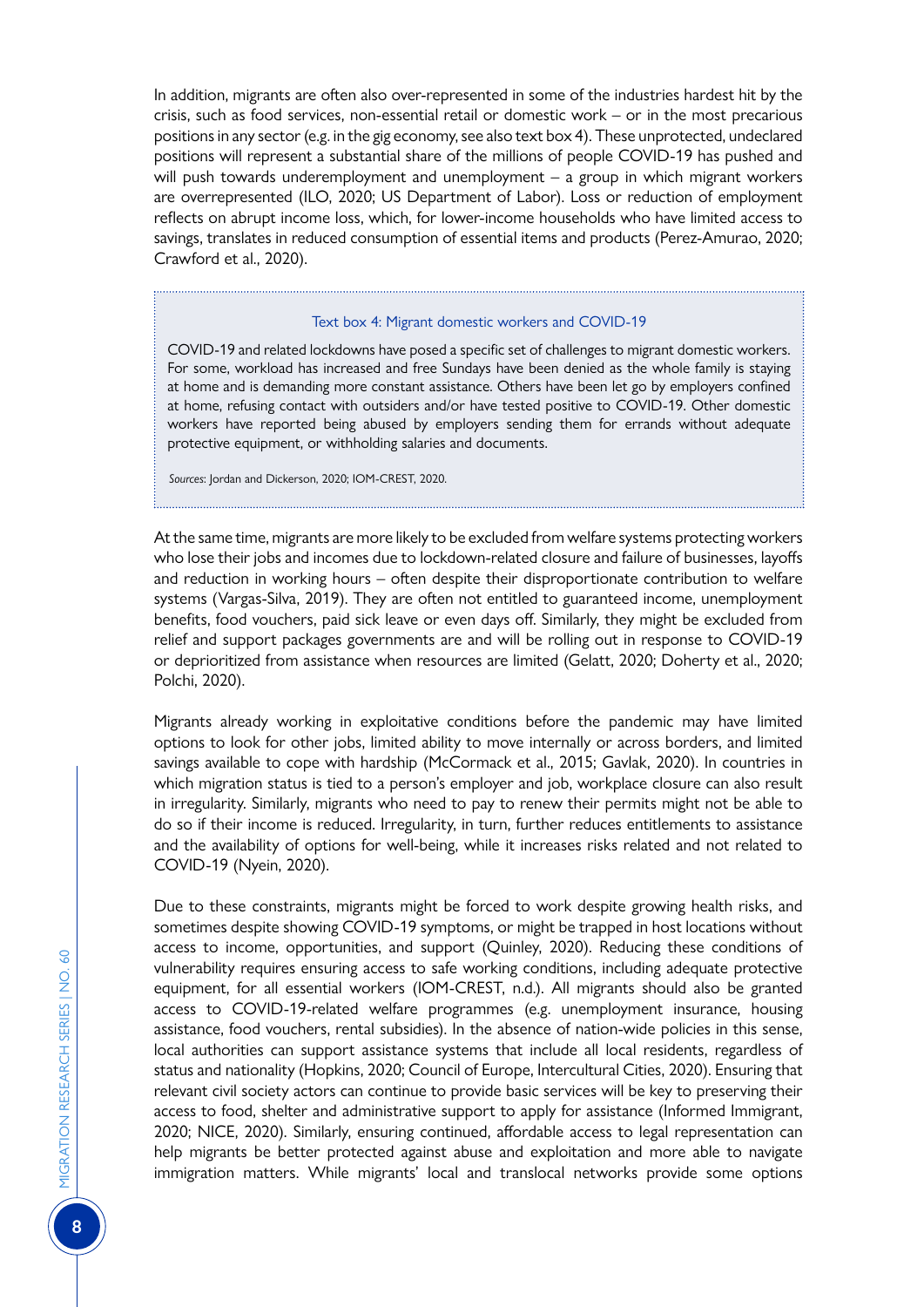In addition, migrants are often also over-represented in some of the industries hardest hit by the crisis, such as food services, non-essential retail or domestic work – or in the most precarious positions in any sector (e.g. in the gig economy, see also text box 4). These unprotected, undeclared positions will represent a substantial share of the millions of people COVID-19 has pushed and will push towards underemployment and unemployment - a group in which migrant workers are overrepresented (ILO, 2020; US Department of Labor). Loss or reduction of employment reflects on abrupt income loss, which, for lower-income households who have limited access to savings, translates in reduced consumption of essential items and products (Perez-Amurao, 2020; Crawford et al., 2020).

#### Text box 4: Migrant domestic workers and COVID-19

COVID-19 and related lockdowns have posed a specific set of challenges to migrant domestic workers. For some, workload has increased and free Sundays have been denied as the whole family is staying at home and is demanding more constant assistance. Others have been let go by employers confined at home, refusing contact with outsiders and/or have tested positive to COVID-19. Other domestic workers have reported being abused by employers sending them for errands without adequate protective equipment, or withholding salaries and documents.

*Sources*: Jordan and Dickerson, 2020; IOM-CREST, 2020.

At the same time, migrants are more likely to be excluded from welfare systems protecting workers who lose their jobs and incomes due to lockdown-related closure and failure of businesses, layoffs and reduction in working hours – often despite their disproportionate contribution to welfare systems (Vargas-Silva, 2019). They are often not entitled to guaranteed income, unemployment benefits, food vouchers, paid sick leave or even days off. Similarly, they might be excluded from relief and support packages governments are and will be rolling out in response to COVID-19 or deprioritized from assistance when resources are limited (Gelatt, 2020; Doherty et al., 2020; Polchi, 2020).

Migrants already working in exploitative conditions before the pandemic may have limited options to look for other jobs, limited ability to move internally or across borders, and limited savings available to cope with hardship (McCormack et al., 2015; Gavlak, 2020). In countries in which migration status is tied to a person's employer and job, workplace closure can also result in irregularity. Similarly, migrants who need to pay to renew their permits might not be able to do so if their income is reduced. Irregularity, in turn, further reduces entitlements to assistance and the availability of options for well-being, while it increases risks related and not related to COVID-19 (Nyein, 2020).

Due to these constraints, migrants might be forced to work despite growing health risks, and sometimes despite showing COVID-19 symptoms, or might be trapped in host locations without access to income, opportunities, and support (Quinley, 2020). Reducing these conditions of vulnerability requires ensuring access to safe working conditions, including adequate protective equipment, for all essential workers (IOM-CREST, n.d.). All migrants should also be granted access to COVID-19-related welfare programmes (e.g. unemployment insurance, housing assistance, food vouchers, rental subsidies). In the absence of nation-wide policies in this sense, local authorities can support assistance systems that include all local residents, regardless of status and nationality (Hopkins, 2020; Council of Europe, Intercultural Cities, 2020). Ensuring that relevant civil society actors can continue to provide basic services will be key to preserving their access to food, shelter and administrative support to apply for assistance (Informed Immigrant, 2020; NICE, 2020). Similarly, ensuring continued, affordable access to legal representation can help migrants be better protected against abuse and exploitation and more able to navigate immigration matters. While migrants' local and translocal networks provide some options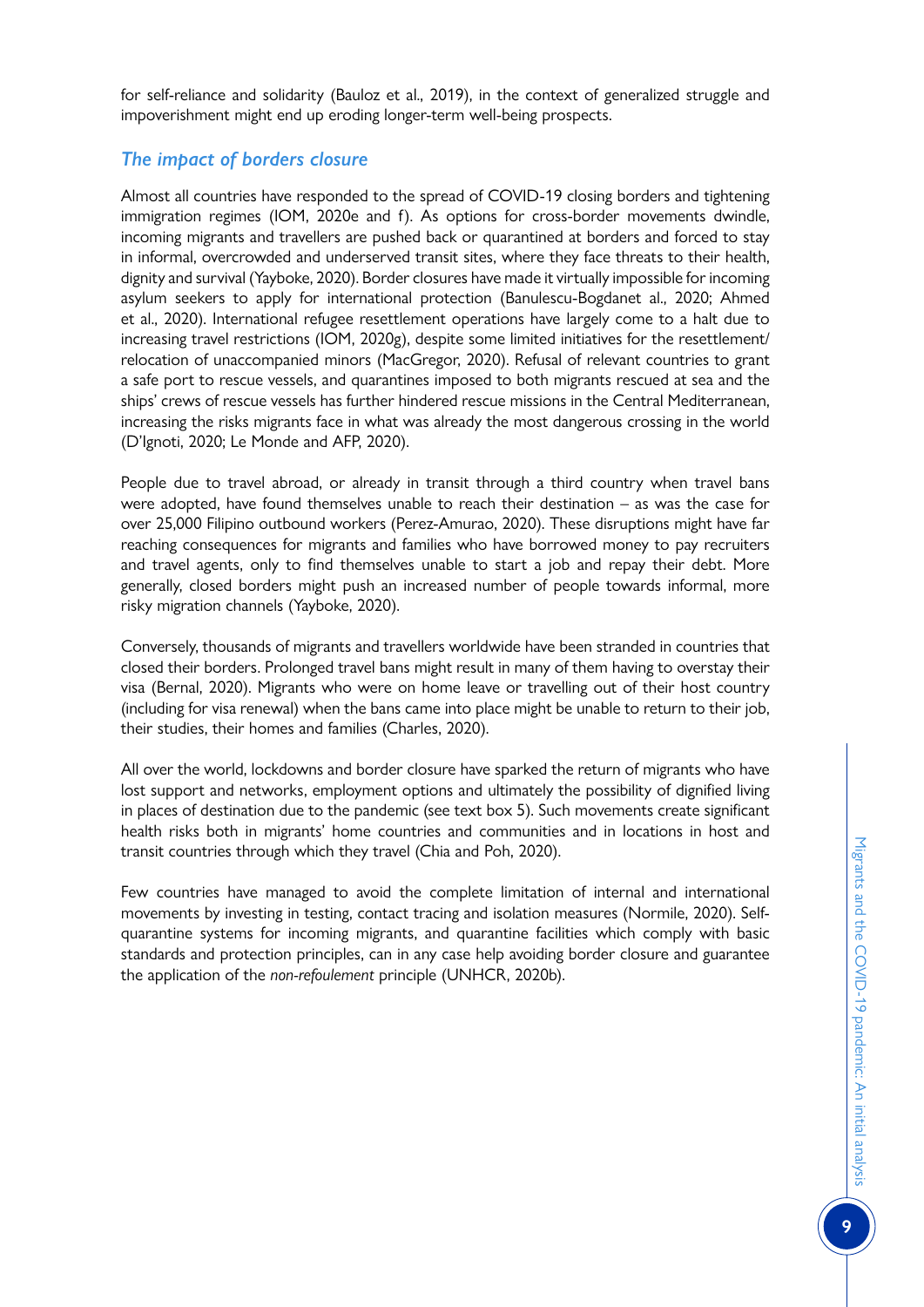for self-reliance and solidarity (Bauloz et al., 2019), in the context of generalized struggle and impoverishment might end up eroding longer-term well-being prospects.

# *The impact of borders closure*

Almost all countries have responded to the spread of COVID-19 closing borders and tightening immigration regimes (IOM, 2020e and f). As options for cross-border movements dwindle, incoming migrants and travellers are pushed back or quarantined at borders and forced to stay in informal, overcrowded and underserved transit sites, where they face threats to their health, dignity and survival (Yayboke, 2020). Border closures have made it virtually impossible for incoming asylum seekers to apply for international protection (Banulescu-Bogdanet al., 2020; Ahmed et al., 2020). International refugee resettlement operations have largely come to a halt due to increasing travel restrictions (IOM, 2020g), despite some limited initiatives for the resettlement/ relocation of unaccompanied minors (MacGregor, 2020). Refusal of relevant countries to grant a safe port to rescue vessels, and quarantines imposed to both migrants rescued at sea and the ships' crews of rescue vessels has further hindered rescue missions in the Central Mediterranean, increasing the risks migrants face in what was already the most dangerous crossing in the world (D'Ignoti, 2020; Le Monde and AFP, 2020).

People due to travel abroad, or already in transit through a third country when travel bans were adopted, have found themselves unable to reach their destination – as was the case for over 25,000 Filipino outbound workers (Perez-Amurao, 2020). These disruptions might have far reaching consequences for migrants and families who have borrowed money to pay recruiters and travel agents, only to find themselves unable to start a job and repay their debt. More generally, closed borders might push an increased number of people towards informal, more risky migration channels (Yayboke, 2020).

Conversely, thousands of migrants and travellers worldwide have been stranded in countries that closed their borders. Prolonged travel bans might result in many of them having to overstay their visa (Bernal, 2020). Migrants who were on home leave or travelling out of their host country (including for visa renewal) when the bans came into place might be unable to return to their job, their studies, their homes and families (Charles, 2020).

All over the world, lockdowns and border closure have sparked the return of migrants who have lost support and networks, employment options and ultimately the possibility of dignified living in places of destination due to the pandemic (see text box 5). Such movements create significant health risks both in migrants' home countries and communities and in locations in host and transit countries through which they travel (Chia and Poh, 2020).

Few countries have managed to avoid the complete limitation of internal and international movements by investing in testing, contact tracing and isolation measures (Normile, 2020). Selfquarantine systems for incoming migrants, and quarantine facilities which comply with basic standards and protection principles, can in any case help avoiding border closure and guarantee the application of the *non-refoulement* principle (UNHCR, 2020b).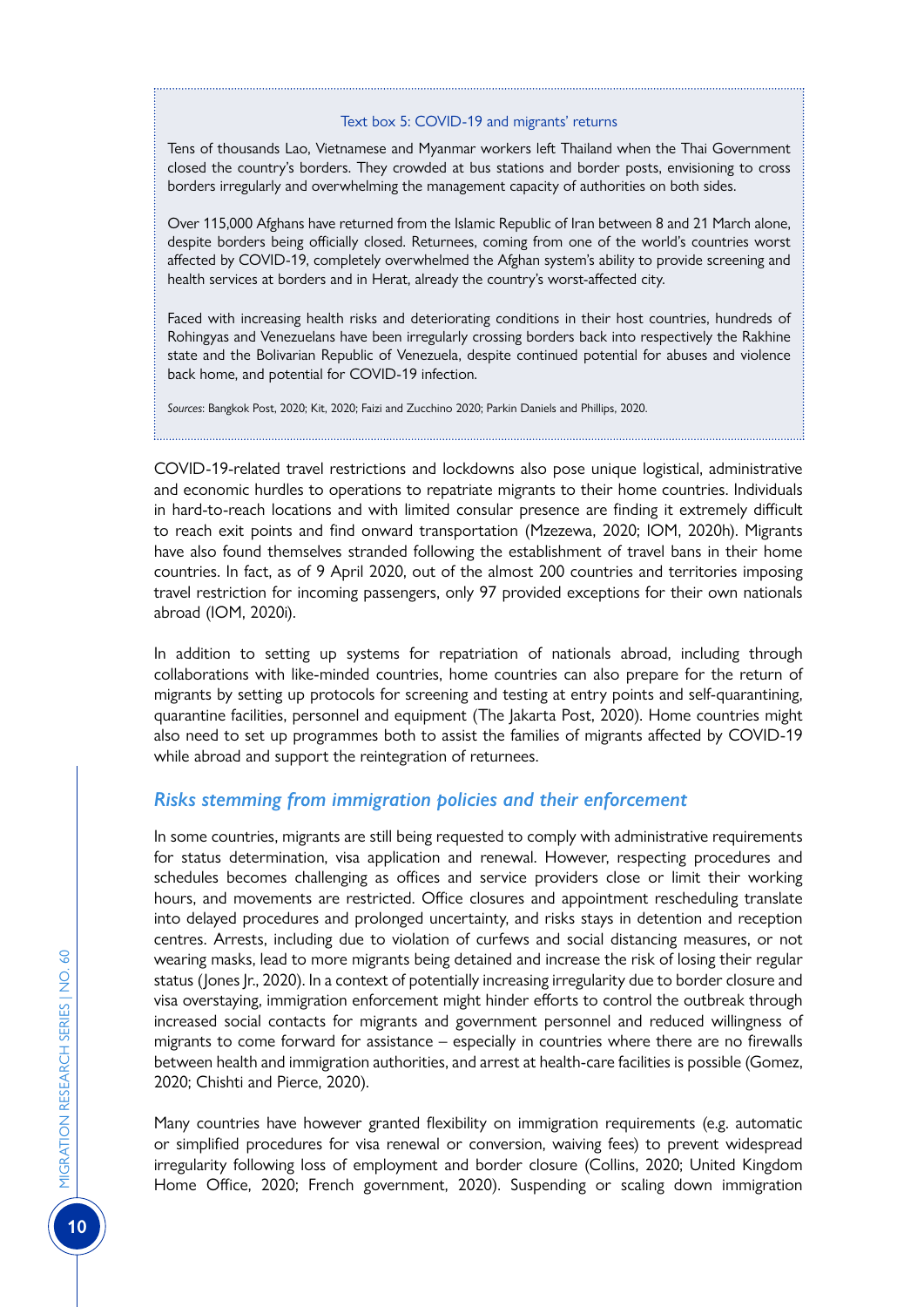#### Text box 5: COVID-19 and migrants' returns

Tens of thousands Lao, Vietnamese and Myanmar workers left Thailand when the Thai Government closed the country's borders. They crowded at bus stations and border posts, envisioning to cross borders irregularly and overwhelming the management capacity of authorities on both sides.

Over 115,000 Afghans have returned from the Islamic Republic of Iran between 8 and 21 March alone, despite borders being officially closed. Returnees, coming from one of the world's countries worst affected by COVID-19, completely overwhelmed the Afghan system's ability to provide screening and health services at borders and in Herat, already the country's worst-affected city.

Faced with increasing health risks and deteriorating conditions in their host countries, hundreds of Rohingyas and Venezuelans have been irregularly crossing borders back into respectively the Rakhine state and the Bolivarian Republic of Venezuela, despite continued potential for abuses and violence back home, and potential for COVID-19 infection.

*Sources*: Bangkok Post, 2020; Kit, 2020; Faizi and Zucchino 2020; Parkin Daniels and Phillips, 2020.

COVID-19-related travel restrictions and lockdowns also pose unique logistical, administrative and economic hurdles to operations to repatriate migrants to their home countries. Individuals in hard-to-reach locations and with limited consular presence are finding it extremely difficult to reach exit points and find onward transportation (Mzezewa, 2020; IOM, 2020h). Migrants have also found themselves stranded following the establishment of travel bans in their home countries. In fact, as of 9 April 2020, out of the almost 200 countries and territories imposing travel restriction for incoming passengers, only 97 provided exceptions for their own nationals abroad (IOM, 2020i).

In addition to setting up systems for repatriation of nationals abroad, including through collaborations with like-minded countries, home countries can also prepare for the return of migrants by setting up protocols for screening and testing at entry points and self-quarantining, quarantine facilities, personnel and equipment (The Jakarta Post, 2020). Home countries might also need to set up programmes both to assist the families of migrants affected by COVID-19 while abroad and support the reintegration of returnees.

# *Risks stemming from immigration policies and their enforcement*

In some countries, migrants are still being requested to comply with administrative requirements for status determination, visa application and renewal. However, respecting procedures and schedules becomes challenging as offices and service providers close or limit their working hours, and movements are restricted. Office closures and appointment rescheduling translate into delayed procedures and prolonged uncertainty, and risks stays in detention and reception centres. Arrests, including due to violation of curfews and social distancing measures, or not wearing masks, lead to more migrants being detained and increase the risk of losing their regular status (Jones Jr., 2020). In a context of potentially increasing irregularity due to border closure and visa overstaying, immigration enforcement might hinder efforts to control the outbreak through increased social contacts for migrants and government personnel and reduced willingness of migrants to come forward for assistance – especially in countries where there are no firewalls between health and immigration authorities, and arrest at health-care facilities is possible (Gomez, 2020; Chishti and Pierce, 2020).

Many countries have however granted flexibility on immigration requirements (e.g. automatic or simplified procedures for visa renewal or conversion, waiving fees) to prevent widespread irregularity following loss of employment and border closure (Collins, 2020; United Kingdom Home Office, 2020; French government, 2020). Suspending or scaling down immigration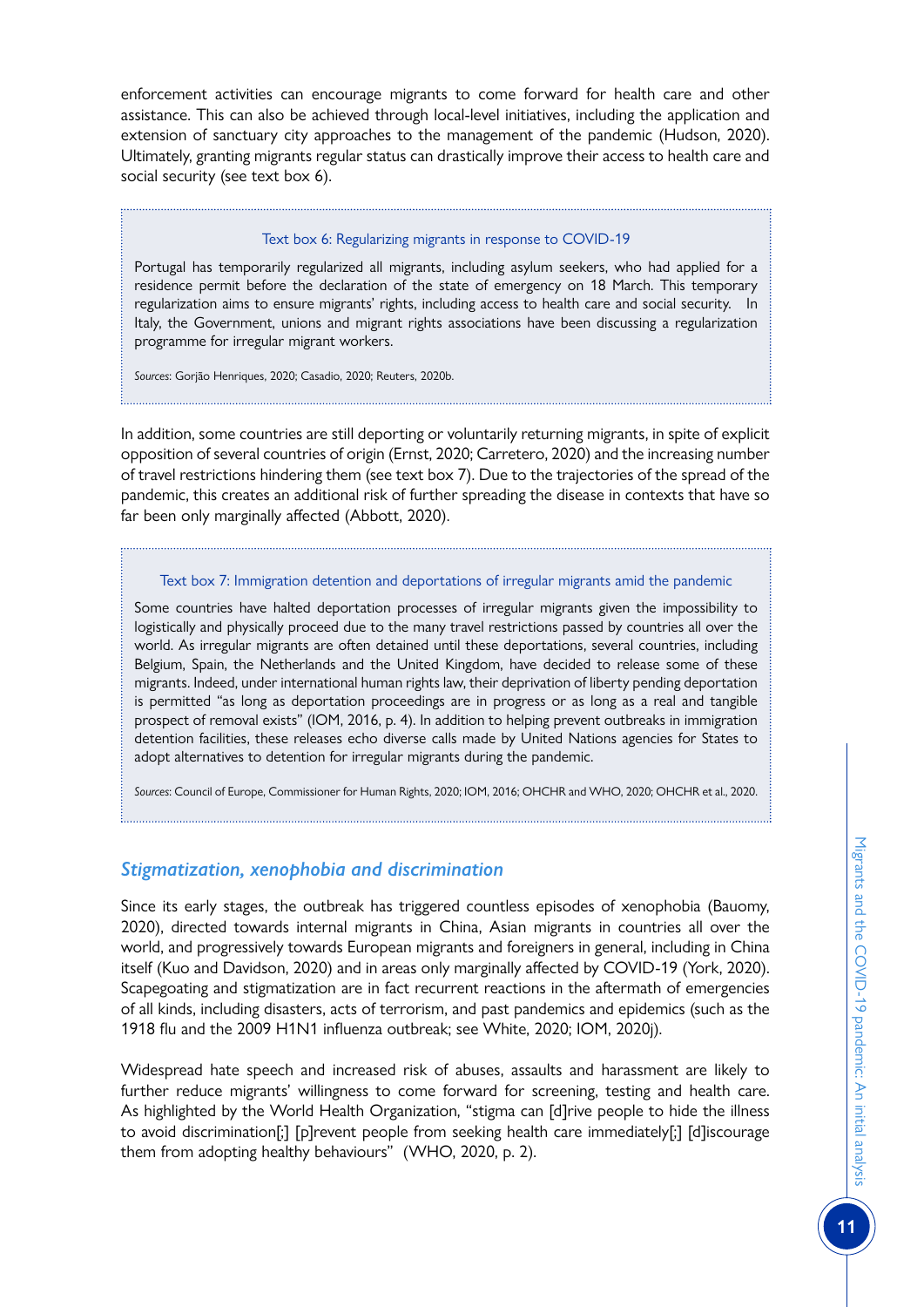enforcement activities can encourage migrants to come forward for health care and other assistance. This can also be achieved through local-level initiatives, including the application and extension of sanctuary city approaches to the management of the pandemic (Hudson, 2020). Ultimately, granting migrants regular status can drastically improve their access to health care and social security (see text box 6).

#### Text box 6: Regularizing migrants in response to COVID-19

Portugal has temporarily regularized all migrants, including asylum seekers, who had applied for a residence permit before the declaration of the state of emergency on 18 March. This temporary regularization aims to ensure migrants' rights, including access to health care and social security. In Italy, the Government, unions and migrant rights associations have been discussing a regularization programme for irregular migrant workers.

*Sources*: Gorjão Henriques, 2020; Casadio, 2020; Reuters, 2020b.

In addition, some countries are still deporting or voluntarily returning migrants, in spite of explicit opposition of several countries of origin (Ernst, 2020; Carretero, 2020) and the increasing number of travel restrictions hindering them (see text box 7). Due to the trajectories of the spread of the pandemic, this creates an additional risk of further spreading the disease in contexts that have so far been only marginally affected (Abbott, 2020).

#### Text box 7: Immigration detention and deportations of irregular migrants amid the pandemic

Some countries have halted deportation processes of irregular migrants given the impossibility to logistically and physically proceed due to the many travel restrictions passed by countries all over the world. As irregular migrants are often detained until these deportations, several countries, including Belgium, Spain, the Netherlands and the United Kingdom, have decided to release some of these migrants. Indeed, under international human rights law, their deprivation of liberty pending deportation is permitted "as long as deportation proceedings are in progress or as long as a real and tangible prospect of removal exists" (IOM, 2016, p. 4). In addition to helping prevent outbreaks in immigration detention facilities, these releases echo diverse calls made by United Nations agencies for States to adopt alternatives to detention for irregular migrants during the pandemic.

*Sources*: Council of Europe, Commissioner for Human Rights, 2020; IOM, 2016; OHCHR and WHO, 2020; OHCHR et al., 2020. 

# *Stigmatization, xenophobia and discrimination*

Since its early stages, the outbreak has triggered countless episodes of xenophobia (Bauomy, 2020), directed towards internal migrants in China, Asian migrants in countries all over the world, and progressively towards European migrants and foreigners in general, including in China itself (Kuo and Davidson, 2020) and in areas only marginally affected by COVID-19 (York, 2020). Scapegoating and stigmatization are in fact recurrent reactions in the aftermath of emergencies of all kinds, including disasters, acts of terrorism, and past pandemics and epidemics (such as the 1918 flu and the 2009 H1N1 influenza outbreak; see White, 2020; IOM, 2020j).

Widespread hate speech and increased risk of abuses, assaults and harassment are likely to further reduce migrants' willingness to come forward for screening, testing and health care. As highlighted by the World Health Organization, "stigma can [d]rive people to hide the illness to avoid discrimination[;] [p]revent people from seeking health care immediately[;] [d]iscourage them from adopting healthy behaviours" (WHO, 2020, p. 2).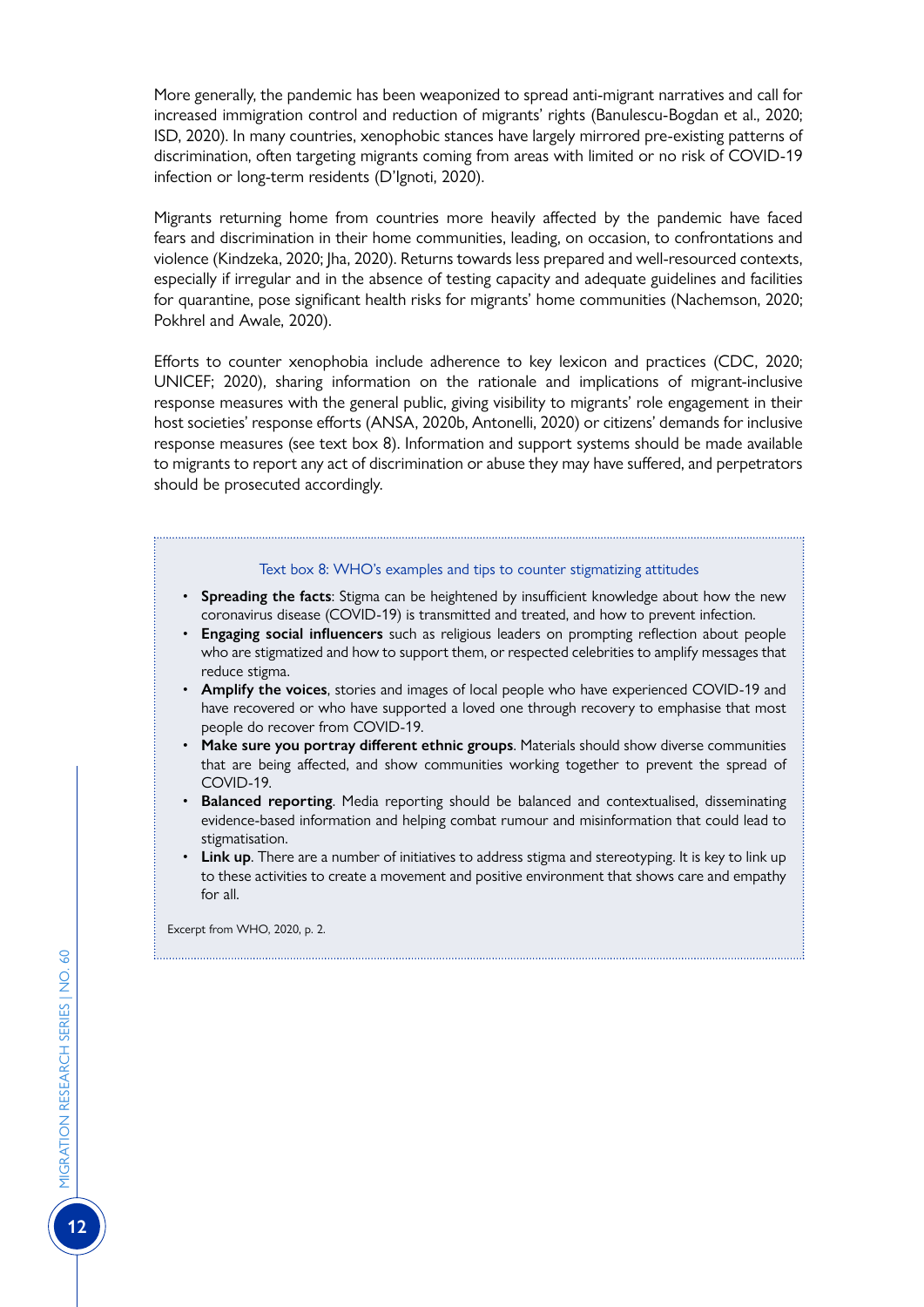More generally, the pandemic has been weaponized to spread anti-migrant narratives and call for increased immigration control and reduction of migrants' rights (Banulescu-Bogdan et al., 2020; ISD, 2020). In many countries, xenophobic stances have largely mirrored pre-existing patterns of discrimination, often targeting migrants coming from areas with limited or no risk of COVID-19 infection or long-term residents (D'Ignoti, 2020).

Migrants returning home from countries more heavily affected by the pandemic have faced fears and discrimination in their home communities, leading, on occasion, to confrontations and violence (Kindzeka, 2020; Jha, 2020). Returns towards less prepared and well-resourced contexts, especially if irregular and in the absence of testing capacity and adequate guidelines and facilities for quarantine, pose significant health risks for migrants' home communities (Nachemson, 2020; Pokhrel and Awale, 2020).

Efforts to counter xenophobia include adherence to key lexicon and practices (CDC, 2020; UNICEF; 2020), sharing information on the rationale and implications of migrant-inclusive response measures with the general public, giving visibility to migrants' role engagement in their host societies' response efforts (ANSA, 2020b, Antonelli, 2020) or citizens' demands for inclusive response measures (see text box 8). Information and support systems should be made available to migrants to report any act of discrimination or abuse they may have suffered, and perpetrators should be prosecuted accordingly.

#### Text box 8: WHO's examples and tips to counter stigmatizing attitudes

- **Spreading the facts**: Stigma can be heightened by insufficient knowledge about how the new coronavirus disease (COVID-19) is transmitted and treated, and how to prevent infection.
- **Engaging social influencers** such as religious leaders on prompting reflection about people who are stigmatized and how to support them, or respected celebrities to amplify messages that reduce stigma.
- **Amplify the voices**, stories and images of local people who have experienced COVID-19 and have recovered or who have supported a loved one through recovery to emphasise that most people do recover from COVID-19.
- **Make sure you portray different ethnic groups**. Materials should show diverse communities that are being affected, and show communities working together to prevent the spread of COVID-19.
- **Balanced reporting**. Media reporting should be balanced and contextualised, disseminating evidence-based information and helping combat rumour and misinformation that could lead to stigmatisation.
- **Link up**. There are a number of initiatives to address stigma and stereotyping. It is key to link up to these activities to create a movement and positive environment that shows care and empathy for all.

Excerpt from WHO, 2020, p. 2.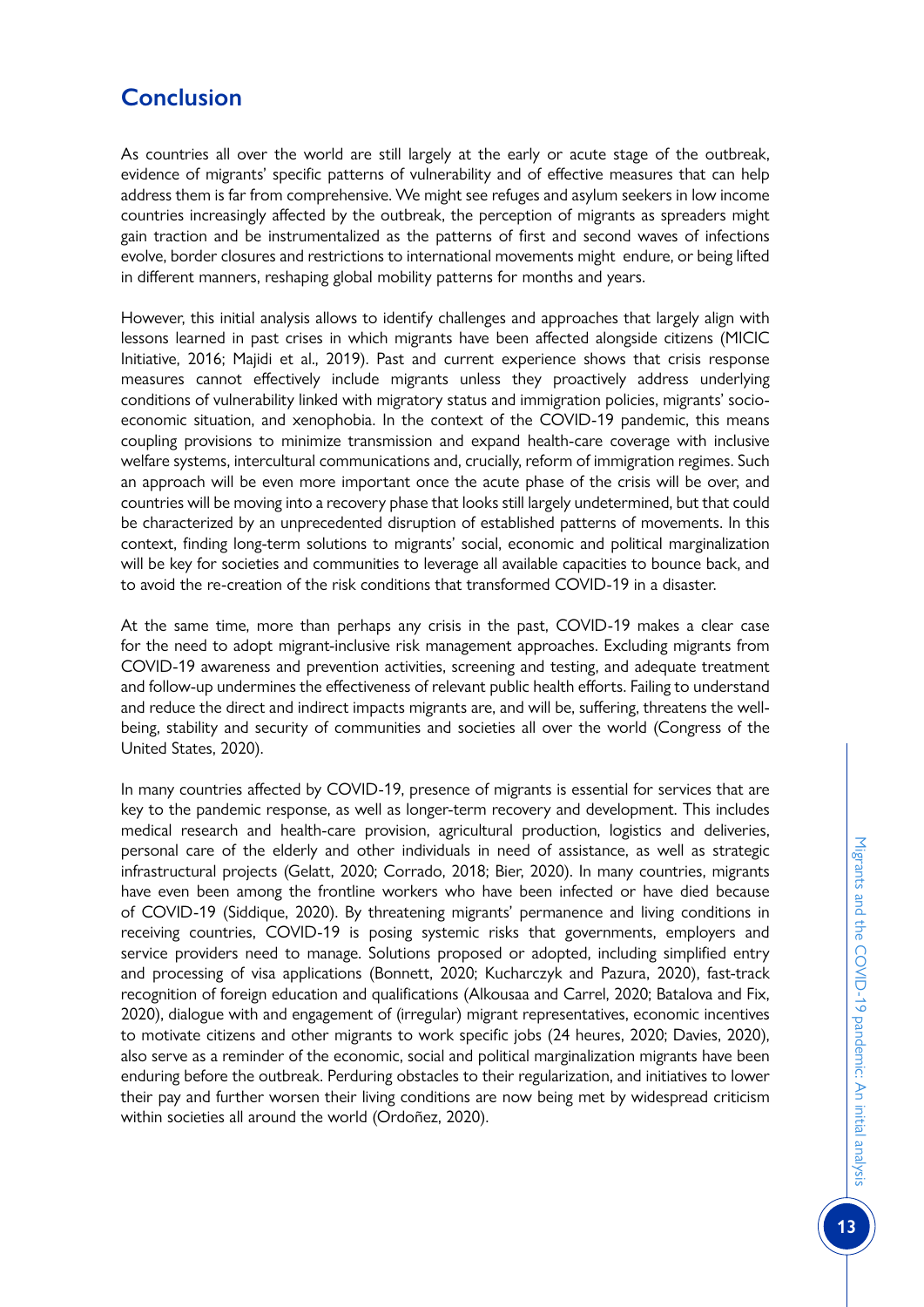# **Conclusion**

As countries all over the world are still largely at the early or acute stage of the outbreak, evidence of migrants' specific patterns of vulnerability and of effective measures that can help address them is far from comprehensive. We might see refuges and asylum seekers in low income countries increasingly affected by the outbreak, the perception of migrants as spreaders might gain traction and be instrumentalized as the patterns of first and second waves of infections evolve, border closures and restrictions to international movements might endure, or being lifted in different manners, reshaping global mobility patterns for months and years.

However, this initial analysis allows to identify challenges and approaches that largely align with lessons learned in past crises in which migrants have been affected alongside citizens (MICIC Initiative, 2016; Majidi et al., 2019). Past and current experience shows that crisis response measures cannot effectively include migrants unless they proactively address underlying conditions of vulnerability linked with migratory status and immigration policies, migrants' socioeconomic situation, and xenophobia. In the context of the COVID-19 pandemic, this means coupling provisions to minimize transmission and expand health-care coverage with inclusive welfare systems, intercultural communications and, crucially, reform of immigration regimes. Such an approach will be even more important once the acute phase of the crisis will be over, and countries will be moving into a recovery phase that looks still largely undetermined, but that could be characterized by an unprecedented disruption of established patterns of movements. In this context, finding long-term solutions to migrants' social, economic and political marginalization will be key for societies and communities to leverage all available capacities to bounce back, and to avoid the re-creation of the risk conditions that transformed COVID-19 in a disaster.

At the same time, more than perhaps any crisis in the past, COVID-19 makes a clear case for the need to adopt migrant-inclusive risk management approaches. Excluding migrants from COVID-19 awareness and prevention activities, screening and testing, and adequate treatment and follow-up undermines the effectiveness of relevant public health efforts. Failing to understand and reduce the direct and indirect impacts migrants are, and will be, suffering, threatens the wellbeing, stability and security of communities and societies all over the world (Congress of the United States, 2020).

In many countries affected by COVID-19, presence of migrants is essential for services that are key to the pandemic response, as well as longer-term recovery and development. This includes medical research and health-care provision, agricultural production, logistics and deliveries, personal care of the elderly and other individuals in need of assistance, as well as strategic infrastructural projects (Gelatt, 2020; Corrado, 2018; Bier, 2020). In many countries, migrants have even been among the frontline workers who have been infected or have died because of COVID-19 (Siddique, 2020). By threatening migrants' permanence and living conditions in receiving countries, COVID-19 is posing systemic risks that governments, employers and service providers need to manage. Solutions proposed or adopted, including simplified entry and processing of visa applications (Bonnett, 2020; Kucharczyk and Pazura, 2020), fast-track recognition of foreign education and qualifications (Alkousaa and Carrel, 2020; Batalova and Fix, 2020), dialogue with and engagement of (irregular) migrant representatives, economic incentives to motivate citizens and other migrants to work specific jobs (24 heures, 2020; Davies, 2020), also serve as a reminder of the economic, social and political marginalization migrants have been enduring before the outbreak. Perduring obstacles to their regularization, and initiatives to lower their pay and further worsen their living conditions are now being met by widespread criticism within societies all around the world (Ordoñez, 2020).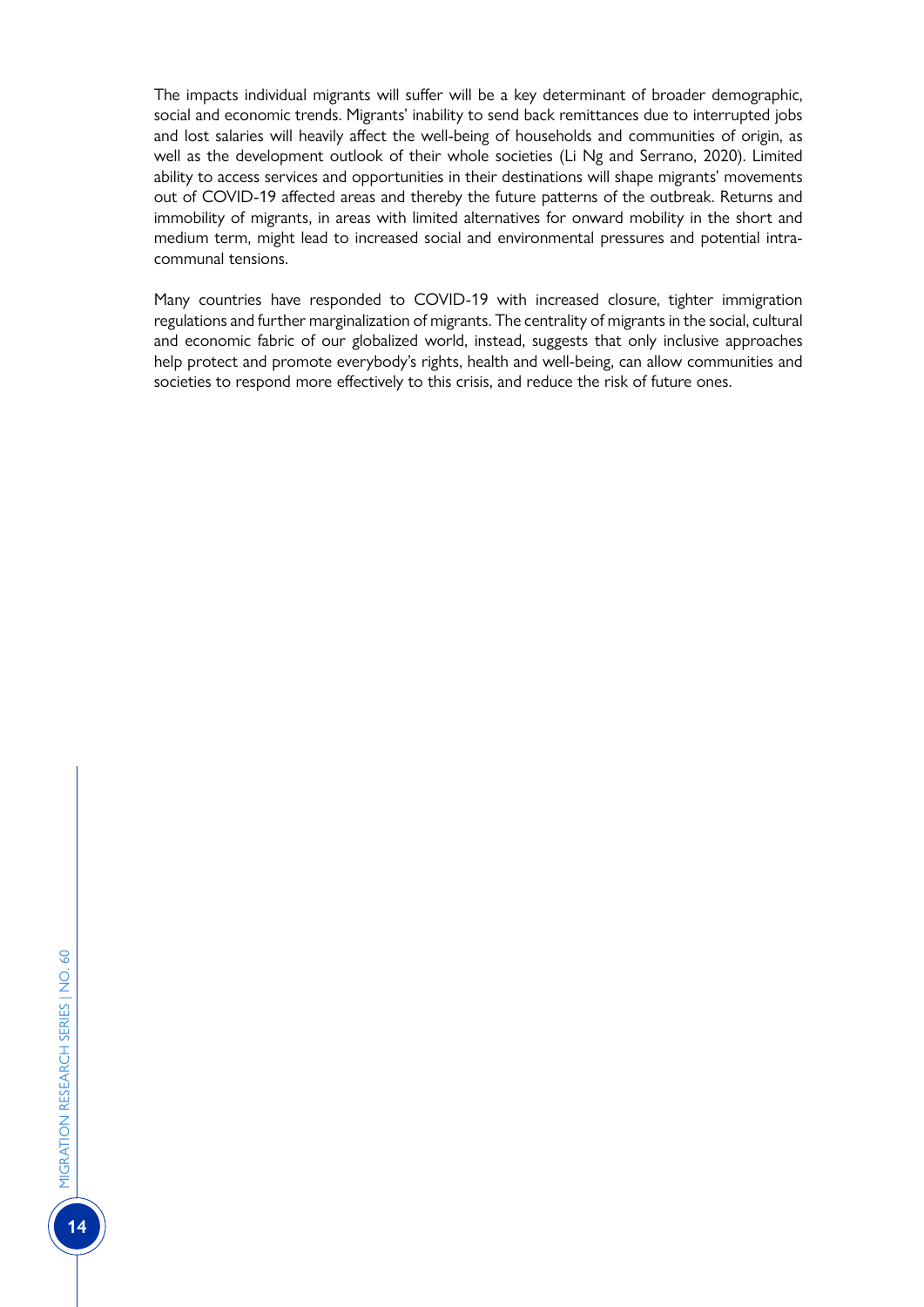The impacts individual migrants will suffer will be a key determinant of broader demographic, social and economic trends. Migrants' inability to send back remittances due to interrupted jobs and lost salaries will heavily affect the well-being of households and communities of origin, as well as the development outlook of their whole societies (Li Ng and Serrano, 2020). Limited ability to access services and opportunities in their destinations will shape migrants' movements out of COVID-19 affected areas and thereby the future patterns of the outbreak. Returns and immobility of migrants, in areas with limited alternatives for onward mobility in the short and medium term, might lead to increased social and environmental pressures and potential intracommunal tensions.

Many countries have responded to COVID-19 with increased closure, tighter immigration regulations and further marginalization of migrants. The centrality of migrants in the social, cultural and economic fabric of our globalized world, instead, suggests that only inclusive approaches help protect and promote everybody's rights, health and well-being, can allow communities and societies to respond more effectively to this crisis, and reduce the risk of future ones.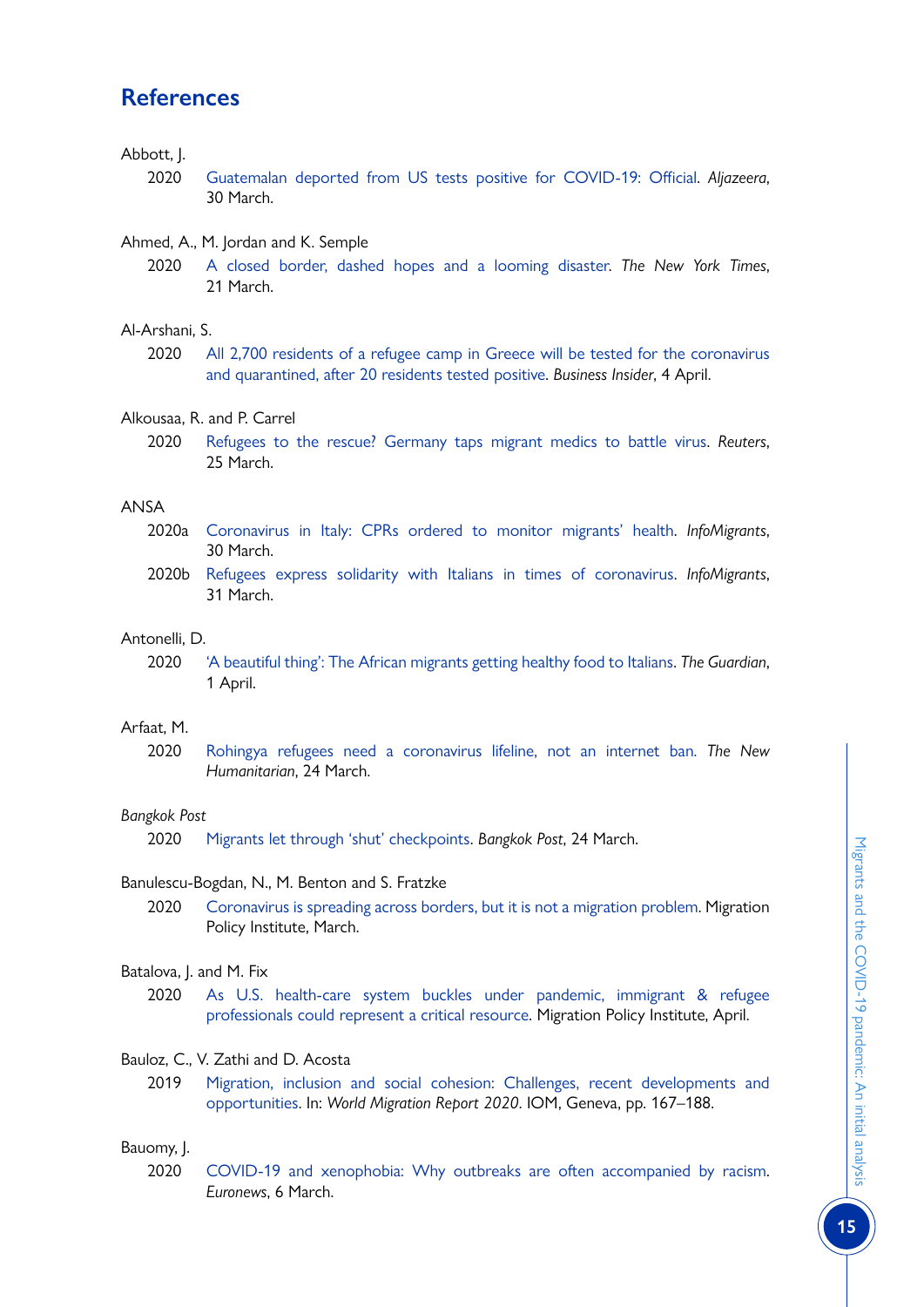# **References**

# Abbott, J.

- 2020 [Guatemalan deported from US tests positive for COVID-19: Official](http://www.aljazeera.com/news/2020/03/guatemalan-deported-tests-positive-covid-19-official-200330030439882.html). *Aljazeera*, 30 March.
- Ahmed, A., M. Jordan and K. Semple
	- 2020 [A closed border, dashed hopes and a looming disaster](http://www.nytimes.com/2020/03/21/world/americas/coronavirus-mexico-border-migrants.html). *The New York Times*, 21 March.

Al-Arshani, S.

2020 [All 2,700 residents of a refugee camp in Greece will be tested for the coronavirus](http://www.businessinsider.com/residents-of-refugee-camp-greece-all-tested-covid-19-2020-4?r=US&IR=T) [and quarantined, after 20 residents tested positive.](http://www.businessinsider.com/residents-of-refugee-camp-greece-all-tested-covid-19-2020-4?r=US&IR=T) *Business Insider*, 4 April.

# Alkousaa, R. and P. Carrel

2020 [Refugees to the rescue? Germany taps migrant medics to battle virus.](http://www.reuters.com/article/us-health-coronavirus-germany-refugees-idUSKBN21C2IG) *Reuters*, 25 March.

# ANSA

- 2020a [Coronavirus in Italy: CPRs ordered to monitor migrants' health](http://www.infomigrants.net/en/post/23755/coronavirus-in-italy-cprs-ordered-to-monitor-migrants-health). *InfoMigrants*, 30 March.
- 2020b [Refugees express solidarity with Italians in times of coronavirus](http://www.infomigrants.net/en/post/23771/refugees-express-solidarity-with-italians-in-times-of-coronavirus). *InfoMigrants*, 31 March.

# Antonelli, D.

2020 ['A beautiful thing': The African migrants getting healthy food to Italians](http://www.theguardian.com/world/2020/apr/01/a-beautiful-thing-the-african-migrants-getting-healthy-food-to-italians). *The Guardian*, 1 April.

# Arfaat, M.

2020 [Rohingya refugees need a coronavirus lifeline, not an internet ban](http://www.thenewhumanitarian.org/first-person/2020/03/24/coronavirus-rohingya-refugees-internet-ban-misinformation). *The New Humanitarian*, 24 March.

# *Bangkok Post*

2020 [Migrants let through 'shut' checkpoints](http://www.bangkokpost.com/thailand/general/1884830/migrants-let-through-shut-checkpoints). *Bangkok Post*, 24 March.

# Banulescu-Bogdan, N., M. Benton and S. Fratzke

2020 [Coronavirus is spreading across borders, but it is not a migration problem](http://www.migrationpolicy.org/news/coronavirus-not-a-migration-problem). Migration Policy Institute, March.

# Batalova, J. and M. Fix

2020 [As U.S. health-care system buckles under pandemic, immigrant & refugee](https://www.migrationpolicy.org/news/us-health-care-system-coronavirus-immigrant-professionals-untapped-resource) [professionals could represent a critical resource.](https://www.migrationpolicy.org/news/us-health-care-system-coronavirus-immigrant-professionals-untapped-resource) Migration Policy Institute, April.

# Bauloz, C., V. Zathi and D. Acosta

2019 [Migration, inclusion and social cohesion: Challenges, recent developments and](https://publications.iom.int/books/world-migration-report-2020-chapter-6) [opportunities](https://publications.iom.int/books/world-migration-report-2020-chapter-6). In: *World Migration Report 2020*. IOM, Geneva, pp. 167–188.

# Bauomy, J.

2020 [COVID-19 and xenophobia: Why outbreaks are often accompanied by racism.](http://www.euronews.com/2020/03/05/covid-19-and-xenophobia-why-outbreaks-are-often-accompanied-by-racism) *Euronews*, 6 March.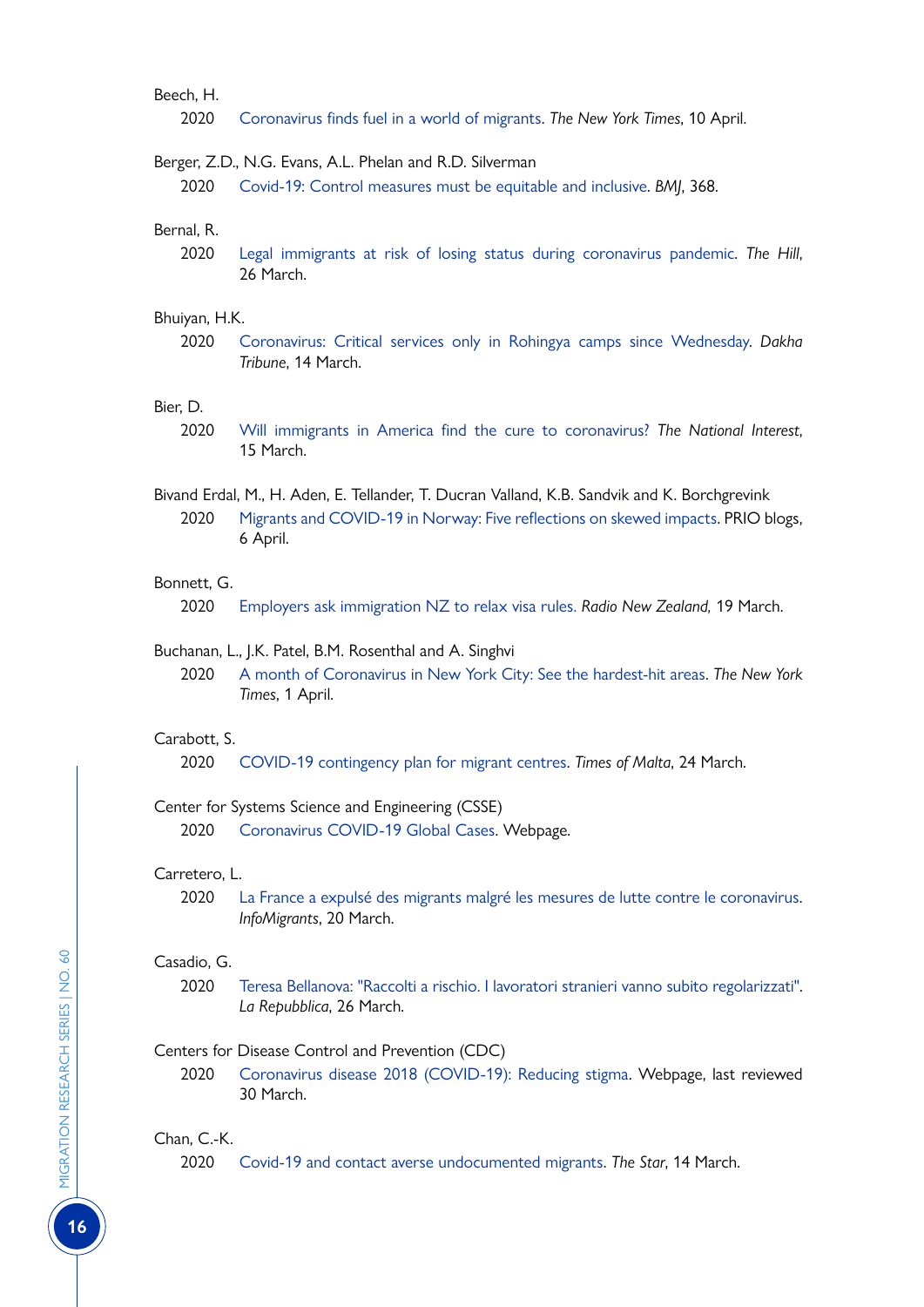# Beech, H.

2020 [Coronavirus finds fuel in a world of migrants](https://www.nytimes.com/2020/04/10/world/asia/coronavirus-migrants.html). *The New York Times*, 10 April.

#### Berger, Z.D., N.G. Evans, A.L. Phelan and R.D. Silverman

2020 [Covid-19: Control measures must be equitable and inclusive](http://www.bmj.com/content/368/bmj.m1141). *BMJ*, 368.

# Bernal, R.

2020 [Legal immigrants at risk of losing status during coronavirus pandemic](https://thehill.com/homenews/administration/489569-legal-immigrants-at-risk-of-losing-status-during-coronavirus-pandemic). *The Hill*, 26 March.

#### Bhuiyan, H.K.

2020 [Coronavirus: Critical services only in Rohingya camps since Wednesday.](http://www.dhakatribune.com/bangladesh/rohingya-crisis/2020/03/24/all-activities-to-be-suspended-at-cox-s-bazar-rohingya-camps-from-wednesday) *Dakha Tribune*, 14 March.

# Bier, D.

- 2020 [Will immigrants in America find the cure to coronavirus?](https://nationalinterest.org/blog/buzz/will-immigrants-america-find-cure-coronavirus-132772) *The National Interest*, 15 March.
- Bivand Erdal, M., H. Aden, E. Tellander, T. Ducran Valland, K.B. Sandvik and K. Borchgrevink 2020 [Migrants and COVID-19 in Norway: Five reflections on skewed impacts](https://blogs.prio.org/2020/04/migrants-and-covid-19-in-norway-five-reflections-on-skewed-impacts/). PRIO blogs, 6 April.

#### Bonnett, G.

2020 [Employers ask immigration NZ to relax visa rules.](http://www.rnz.co.nz/news/national/412152/employers-ask-immigration-nz-to-relax-visa-rules) *Radio New Zealand,* 19 March.

#### Buchanan, L., J.K. Patel, B.M. Rosenthal and A. Singhvi

2020 [A month of Coronavirus in New York City: See the hardest-hit areas.](https://www.nytimes.com/interactive/2020/04/01/nyregion/nyc-coronavirus-cases-map.html) *The New York Times*, 1 April.

#### Carabott, S.

2020 [COVID-19 contingency plan for migrant centres](https://timesofmalta.com/articles/view/covid-19-contingency-plan-for-migrant-centres.780497). *Times of Malta*, 24 March.

# Center for Systems Science and Engineering (CSSE)

2020 [Coronavirus COVID-19 Global Cases](https://gisanddata.maps.arcgis.com/apps/opsdashboard/index.html#/bda7594740fd40299423467b48e9ecf6). Webpage.

# Carretero, L.

2020 [La France a expulsé des migrants malgré les mesures de lutte contre le coronavirus](http://www.infomigrants.net/fr/post/23591/la-france-a-expulse-des-migrants-malgre-les-mesures-de-lutte-contre-le-coronavirus). *InfoMigrants*, 20 March.

#### Casadio, G.

2020 [Teresa Bellanova: "Raccolti a rischio. I lavoratori stranieri vanno subito regolarizzati"](https://rep.repubblica.it/pwa/intervista/2020/03/26/news/coronavirus_teresa_bellanova_agricoltura_governo-252414368/?ref=RHPPLF-BH-I252410466-C8-P8-S4.4-T1). *La Repubblica*, 26 March.

# Centers for Disease Control and Prevention (CDC)

2020 [Coronavirus disease 2018 \(COVID-19\): Reducing stigma](http://www.cdc.gov/coronavirus/2019-ncov/daily-life-coping/reducing-stigma.html). Webpage, last reviewed 30 March.

#### Chan, C.-K.

2020 [Covid-19 and contact averse undocumented migrants.](http://www.thestar.com.my/opinion/letters/2020/03/14/covid-19-and-contact-averse-undocumented-migrants) *The Star*, 14 March.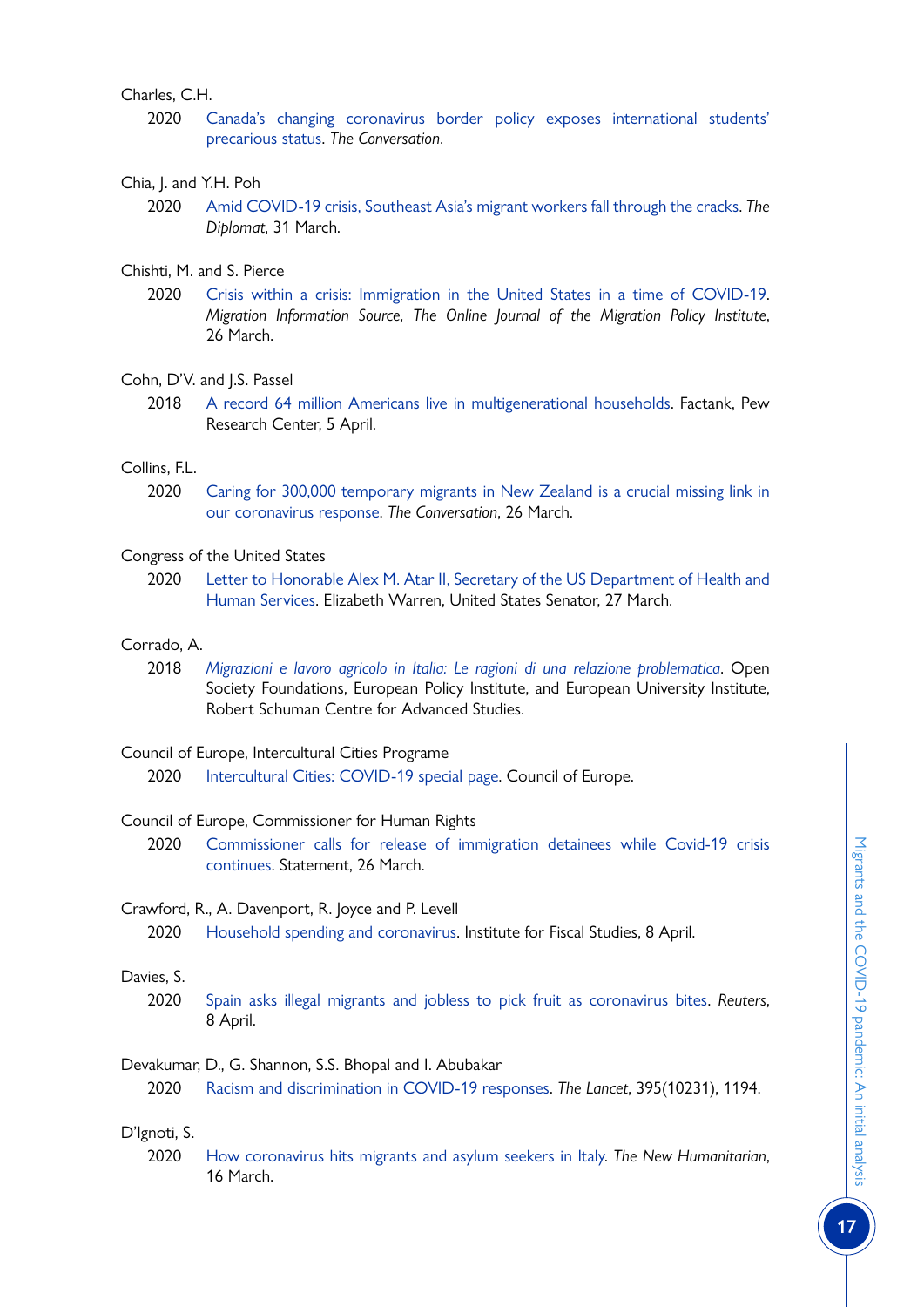# Charles, C.H.

2020 [Canada's changing coronavirus border policy exposes international students'](https://theconversation.com/canadas-changing-coronavirus-border-policy-exposes-international-students-precarious-status-134011) [precarious status.](https://theconversation.com/canadas-changing-coronavirus-border-policy-exposes-international-students-precarious-status-134011) *The Conversation*.

# Chia, J. and Y.H. Poh

- 2020 [Amid COVID-19 crisis, Southeast Asia's migrant workers fall through the cracks](https://thediplomat.com/2020/03/amid-covid-19-crisis-southeast-asias-migrant-workers-fall-through-the-cracks/). *The Diplomat*, 31 March.
- Chishti, M. and S. Pierce
	- 2020 [Crisis within a crisis: Immigration in the United States in a time of COVID-19.](http://www.migrationpolicy.org/article/crisis-within-crisis-immigration-time-covid-19) *Migration Information Source, The Online Journal of the Migration Policy Institute*, 26 March.

# Cohn, D'V. and J.S. Passel

2018 [A record 64 million Americans live in multigenerational households](https://www.pewresearch.org/fact-tank/2018/04/05/a-record-64-million-americans-live-in-multigenerational-households/). Factank, Pew Research Center, 5 April.

# Collins, F.L.

2020 [Caring for 300,000 temporary migrants in New Zealand is a crucial missing link in](https://theconversation.com/caring-for-300-000-temporary-migrants-in-new-zealand-is-a-crucial-missing-link-in-our-coronavirus-response-134152) [our coronavirus response.](https://theconversation.com/caring-for-300-000-temporary-migrants-in-new-zealand-is-a-crucial-missing-link-in-our-coronavirus-response-134152) *The Conversation*, 26 March.

# Congress of the United States

2020 [Letter to Honorable Alex M. Atar II, Secretary of the US Department of Health and](https://www.warren.senate.gov/imo/media/doc/2020.03.27 Letter to HHS re racial disparities in COVID response.pdf) [Human Services](https://www.warren.senate.gov/imo/media/doc/2020.03.27 Letter to HHS re racial disparities in COVID response.pdf). Elizabeth Warren, United States Senator, 27 March.

# Corrado, A.

2018 *[Migrazioni e lavoro agricolo in Italia: Le ragioni di una relazione problematica](http://www.opensocietyfoundations.org/uploads/b6ead456-1d7e-443e-b066-8f0e70a6f1be/is-italian-agriculture-a-pull-factor-for-irregular-migration-report-it-20181205.pdf)*. Open Society Foundations, European Policy Institute, and European University Institute, Robert Schuman Centre for Advanced Studies.

#### Council of Europe, Intercultural Cities Programe

2020 [Intercultural Cities: COVID-19 special page](https://www.coe.int/en/web/interculturalcities/covid-19-special-page). Council of Europe.

#### Council of Europe, Commissioner for Human Rights

2020 [Commissioner calls for release of immigration detainees while Covid-19 crisis](https://www.coe.int/en/web/commissioner/-/commissioner-calls-for-release-of-immigration-detainees-while-covid-19-crisis-continues) [continues](https://www.coe.int/en/web/commissioner/-/commissioner-calls-for-release-of-immigration-detainees-while-covid-19-crisis-continues). Statement, 26 March.

#### Crawford, R., A. Davenport, R. Joyce and P. Levell

2020 [Household spending and coronavirus](https://www.ifs.org.uk/publications/14795). Institute for Fiscal Studies, 8 April.

#### Davies, S.

2020 [Spain asks illegal migrants and jobless to pick fruit as coronavirus bites](https://www.reuters.com/article/us-health-coronavirus-spain-agriculture/spain-asks-illegal-migrants-and-jobless-to-pick-fruit-as-coronavirus-bites-idUSKCN21Q2MX). *Reuters*, 8 April.

# Devakumar, D., G. Shannon, S.S. Bhopal and I. Abubakar

2020 [Racism and discrimination in COVID-19 responses](https://www.sciencedirect.com/science/article/pii/S0140673620307923). *The Lancet*, 395(10231), 1194.

# D'Ignoti, S.

2020 [How coronavirus hits migrants and asylum seekers in Italy.](http://www.thenewhumanitarian.org/news/2020/03/16/italy-coronavirus-migrants-asylum-seekers) *The New Humanitarian*, 16 March.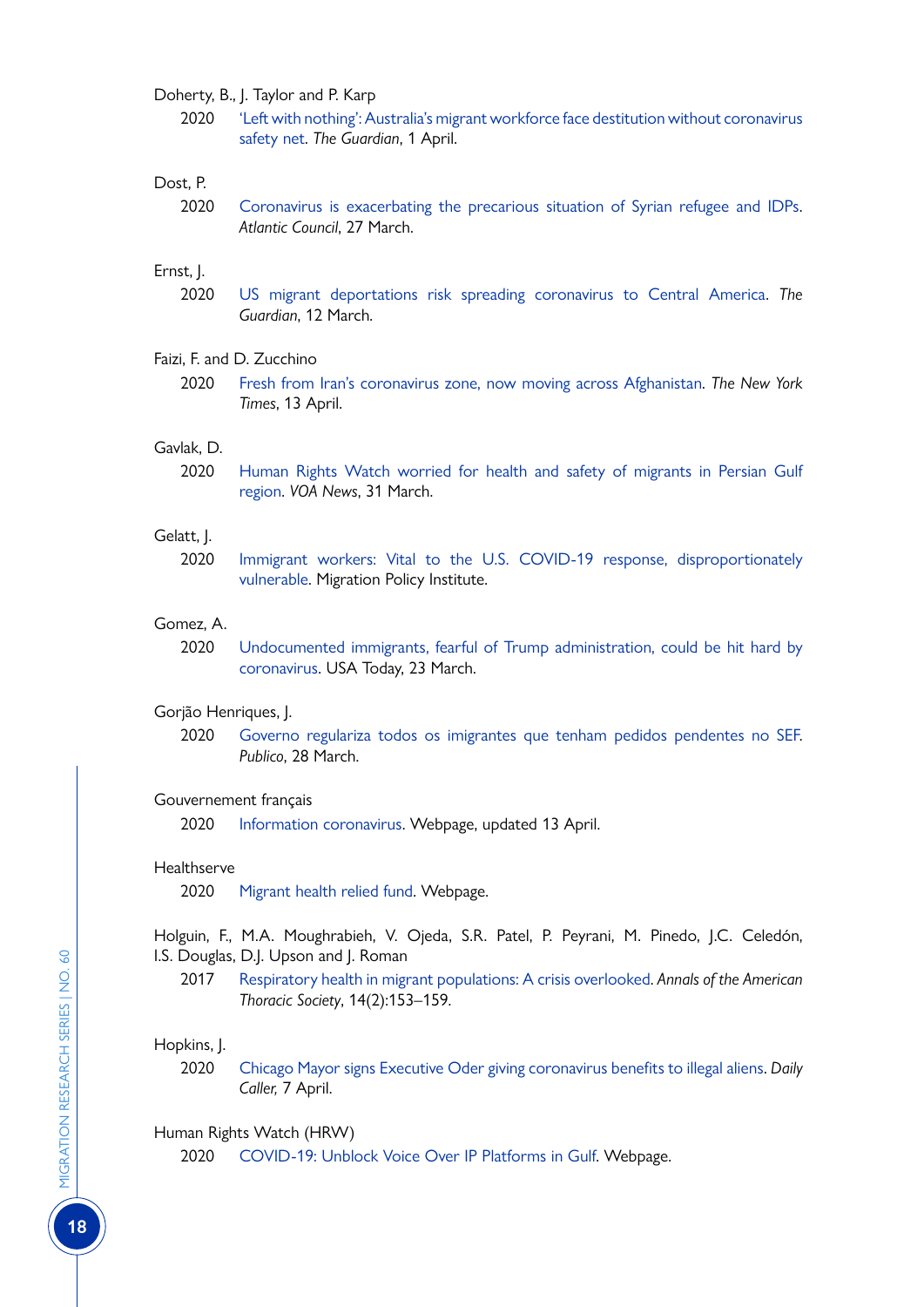#### Doherty, B., J. Taylor and P. Karp

2020 ['Left with nothing': Australia's migrant workforce face destitution without coronavirus](http://www.theguardian.com/australia-news/2020/apr/01/left-with-nothing-australias-migrant-workforce-face-destitution-without-coronavirus-safety-net) [safety net.](http://www.theguardian.com/australia-news/2020/apr/01/left-with-nothing-australias-migrant-workforce-face-destitution-without-coronavirus-safety-net) *The Guardian*, 1 April.

#### Dost, P.

2020 [Coronavirus is exacerbating the precarious situation of Syrian refugee and IDPs](https://atlanticcouncil.org/blogs/menasource/coronavirus-is-exacerbating-the-precarious-situation-of-syrian-refugees-and-idps/). *Atlantic Council*, 27 March.

# Ernst, J.

2020 [US migrant deportations risk spreading coronavirus to Central America.](http://www.theguardian.com/world/2020/mar/12/us-migrant-deportations-coronavirus-central-america) *The Guardian*, 12 March.

#### Faizi, F. and D. Zucchino

2020 [Fresh from Iran's coronavirus zone, now moving across Afghanistan.](https://www.nytimes.com/2020/03/26/world/asia/afghanistan-iran-coronavirus.html) *The New York Times*, 13 April.

#### Gavlak, D.

2020 [Human Rights Watch worried for health and safety of migrants in Persian Gulf](http://www.voanews.com/south-central-asia/human-rights-watch-worried-health-and-safety-migrants-persian-gulf-region) [region](http://www.voanews.com/south-central-asia/human-rights-watch-worried-health-and-safety-migrants-persian-gulf-region). *VOA News*, 31 March.

#### Gelatt, J.

2020 [Immigrant workers: Vital to the U.S. COVID-19 response, disproportionately](http://www.migrationpolicy.org/research/immigrant-workers-us-covid-19-response) [vulnerable.](http://www.migrationpolicy.org/research/immigrant-workers-us-covid-19-response) Migration Policy Institute.

#### Gomez, A.

2020 [Undocumented immigrants, fearful of Trump administration, could be hit hard by](https://eu.usatoday.com/story/news/nation/2020/03/20/coronavirus-and-undocumented-immigrants-under-trump-fear-and-anxiety/5072337002) [coronavirus](https://eu.usatoday.com/story/news/nation/2020/03/20/coronavirus-and-undocumented-immigrants-under-trump-fear-and-anxiety/5072337002). USA Today, 23 March.

#### Gorjão Henriques, J.

2020 [Governo regulariza todos os imigrantes que tenham pedidos pendentes no SEF](https://www.publico.pt/2020/03/28/sociedade/noticia/governo-regulariza-imigrantes-pedidos-pendentes-sef-1909791?fbclid=IwAR2hv844MKWBAcMM2tHNC6oyZ19Pc_f_-FDlrS-w2FPCf28QNJRkQpEeBxU). *Publico*, 28 March.

#### Gouvernement français

2020 [Information coronavirus](https://www.gouvernement.fr/info-coronavirus). Webpage, updated 13 April.

#### **Healthserve**

2020 [Migrant health relied fund](http://www.healthserve.org.sg/migrant-health-relief-fund). Webpage.

Holguin, F., M.A. Moughrabieh, V. Ojeda, S.R. Patel, P. Peyrani, M. Pinedo, J.C. Celedón, I.S. Douglas, D.J. Upson and J. Roman

2017 [Respiratory health in migrant populations: A crisis overlooked](http://www.ncbi.nlm.nih.gov/pmc/articles/PMC5427732/). *Annals of the American Thoracic Society*, 14(2):153–159.

#### Hopkins, J.

2020 [Chicago Mayor signs Executive Oder giving coronavirus benefits to illegal aliens](https://dailycaller.com/2020/04/07/chicago-to-give-benefits-to-illegal-aliens/). *Daily Caller,* 7 April.

#### Human Rights Watch (HRW)

2020 [COVID-19: Unblock Voice Over IP Platforms in Gulf](https://www.hrw.org/news/2020/04/07/covid-19-unblock-voice-over-ip-platforms-gulf). Webpage.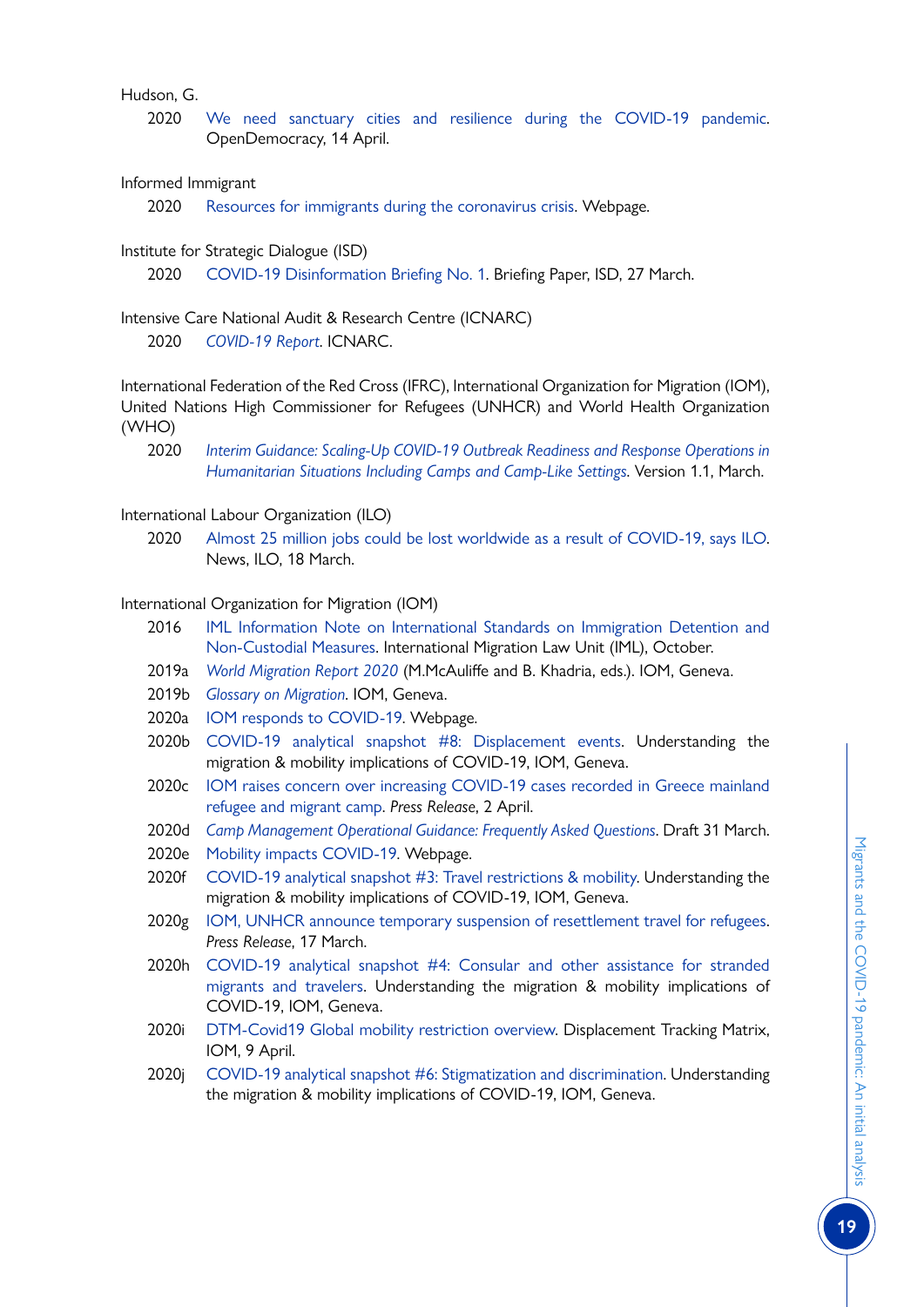# Hudson, G.

2020 [We need sanctuary cities and resilience during the COVID-19 pandemic.](https://www.opendemocracy.net/en/pandemic-border/we-need-sanctuary-cities-and-resilience-during-covid-19-pandemic/) OpenDemocracy, 14 April.

# Informed Immigrant

2020 [Resources for immigrants during the coronavirus crisis](file:///C:\Users\lguadagno\AppData\Local\Microsoft\Windows\INetCache\Content.Outlook\JCC3GST8\www.informedimmigrant.com\guides\coronavirus\). Webpage.

# Institute for Strategic Dialogue (ISD)

2020 [COVID-19 Disinformation Briefing No. 1](http://www.isdglobal.org/wp-content/uploads/2020/03/COVID-19-Briefing-Institute-for-Strategic-Dialogue-27th-March-2020.pdf). Briefing Paper, ISD, 27 March.

# Intensive Care National Audit & Research Centre (ICNARC)

2020 *[COVID-19 Report](https://www.icnarc.org/Our-Audit/Audits/Cmp/Reports)*. ICNARC.

International Federation of the Red Cross (IFRC), International Organization for Migration (IOM), United Nations High Commissioner for Refugees (UNHCR) and World Health Organization (WHO)

2020 *[Interim Guidance: Scaling-Up COVID-19 Outbreak Readiness and Response Operations in](https://interagencystandingcommittee.org/system/files/2020-03/IASC Interim Guidance on COVID-19 for Outbreak Readiness and Response Operations - Camps and Camp-like Settings.pdf) [Humanitarian Situations Including Camps and Camp-Like Settings](https://interagencystandingcommittee.org/system/files/2020-03/IASC Interim Guidance on COVID-19 for Outbreak Readiness and Response Operations - Camps and Camp-like Settings.pdf)*. Version 1.1, March.

# International Labour Organization (ILO)

2020 [Almost 25 million jobs could be lost worldwide as a result of COVID-19, says ILO.](https://www.ilo.org/global/about-the-ilo/newsroom/news/WCMS_738742/lang--en/index.htm) News, ILO, 18 March.

# International Organization for Migration (IOM)

- 2016 [IML Information Note on International Standards on Immigration Detention and](https://www.iom.int/sites/default/files/our_work/ICP/IML/IML-Information-Note-Immigration-Detention-and-Non-Custodial-Measures.pdf) [Non-Custodial Measures](https://www.iom.int/sites/default/files/our_work/ICP/IML/IML-Information-Note-Immigration-Detention-and-Non-Custodial-Measures.pdf). International Migration Law Unit (IML), October.
- 2019a *[World Migration Report 2020](http://www.iom.int/wmr/)* (M.McAuliffe and B. Khadria, eds.). IOM, Geneva.
- 2019b *[Glossary on Migration](https://publications.iom.int/books/international-migration-law-ndeg34-glossary-migration)*. IOM, Geneva.
- 2020a [IOM responds to COVID-19](http://www.iom.int/covid19). Webpage.
- 2020b [COVID-19 analytical snapshot #8: Displacement events](https://www.iom.int/sites/default/files/our_work/ICP/MPR/covid-19_analytical_snapshot_8_displacement_events.pdf). Understanding the migration & mobility implications of COVID-19, IOM, Geneva.
- 2020c [IOM raises concern over increasing COVID-19 cases recorded in Greece mainland](http://www.iom.int/news/iom-raises-concern-over-increasing-covid-19-cases-recorded-greece-mainland-refugee-and-migrant) [refugee and migrant camp](http://www.iom.int/news/iom-raises-concern-over-increasing-covid-19-cases-recorded-greece-mainland-refugee-and-migrant). *Press Release*, 2 April.
- 2020d *[Camp Management Operational Guidance: Frequently Asked Questions](https://reliefweb.int/sites/reliefweb.int/files/resources/covid_cm-operationsguidance.pdf)*. Draft 31 March.
- 2020e [Mobility impacts COVID-19.](https://migration.iom.int/) Webpage.
- 2020f [COVID-19 analytical snapshot #3: Travel restrictions & mobility](https://www.iom.int/sites/default/files/our_work/ICP/MPR/covid-19_analytical_snapshot_3_-_travel_restrictions_and_mobility.pdf). Understanding the migration & mobility implications of COVID-19, IOM, Geneva.
- 2020g [IOM, UNHCR announce temporary suspension of resettlement travel for refugees.](http://www.iom.int/news/iom-unhcr-announce-temporary-suspension-resettlement-travel-refugees) *Press Release*, 17 March.
- 2020h [COVID-19 analytical snapshot #4: Consular and other assistance for stranded](https://www.iom.int/sites/default/files/our_work/ICP/MPR/covid-19_analytical_snapshot_4_-_consular_and_other_assistance.pdf) [migrants and travelers](https://www.iom.int/sites/default/files/our_work/ICP/MPR/covid-19_analytical_snapshot_4_-_consular_and_other_assistance.pdf). Understanding the migration & mobility implications of COVID-19, IOM, Geneva.
- 2020i [DTM-Covid19 Global mobility restriction overview.](https://migration.iom.int/reports/dtm-covid19-travel-restrictions-output-%E2%80%94-9-april-2020?close=true) Displacement Tracking Matrix, IOM, 9 April.
- 2020j [COVID-19 analytical snapshot #6: Stigmatization and discrimination](https://www.iom.int/sites/default/files/our_work/ICP/MPR/covid-19_analytical_snapshot_6_-_stigmatization_and_discrimination.pdf). Understanding the migration & mobility implications of COVID-19, IOM, Geneva.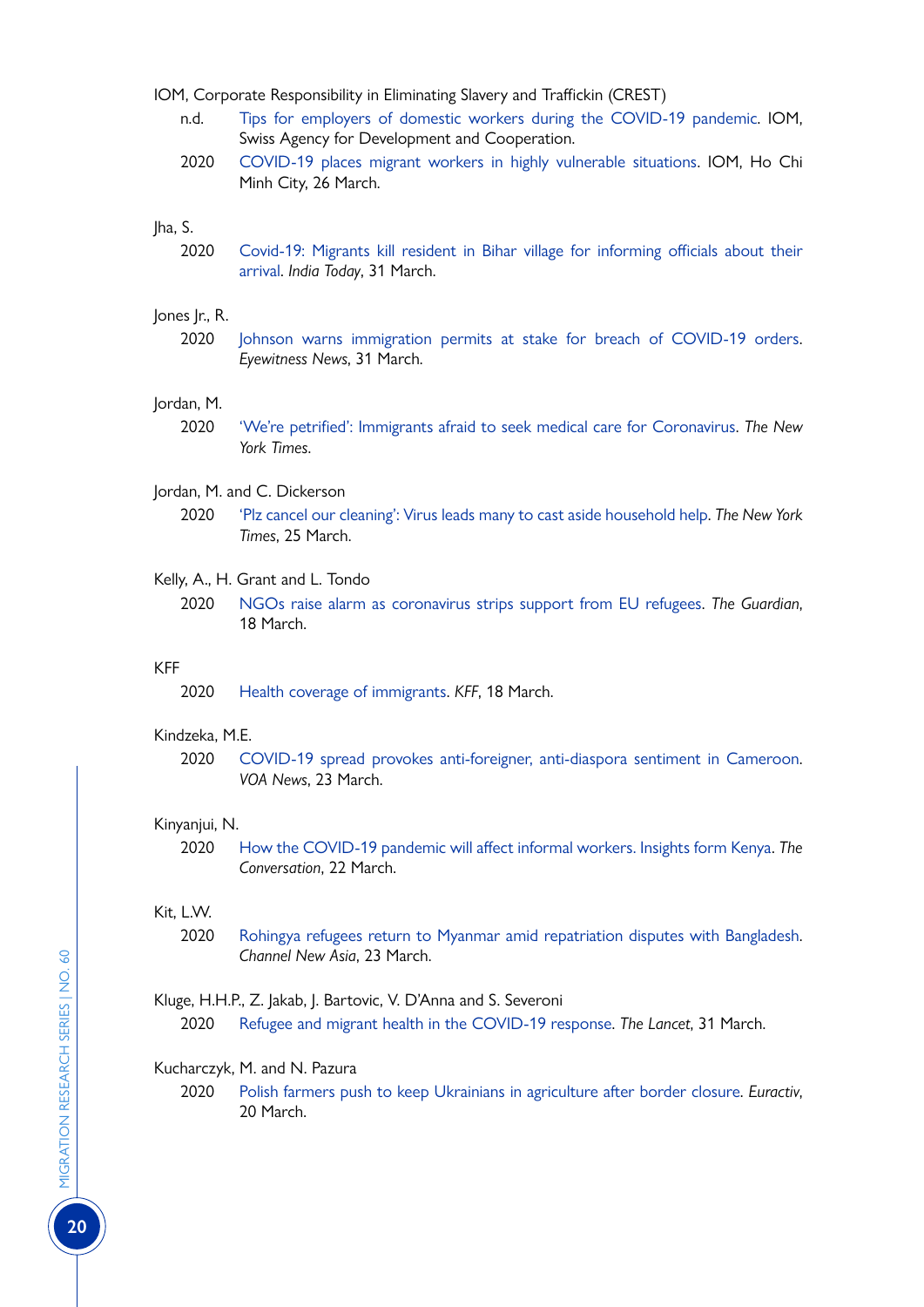- IOM, Corporate Responsibility in Eliminating Slavery and Traffickin (CREST)
	- n.d. [Tips for employers of domestic workers during the COVID-19 pandemic](https://crest.iom.int/sites/default/files/document/info_sheet-_employers_of_domestic_workers_eng.pdf). IOM, Swiss Agency for Development and Cooperation.
	- 2020 [COVID-19 places migrant workers in highly vulnerable situations](https://crest.iom.int/news/covid-19-places-migrant-workers-highly-vulnerable-situations%C2%A0). IOM, Ho Chi Minh City, 26 March.

#### Jha, S.

2020 [Covid-19: Migrants kill resident in Bihar village for informing officials about their](http://www.indiatoday.in/india/story/covid-19-migrants-kill-resident-in-bihar-village-for-informing-officials-about-their-arrival-1661626-2020-03-31) [arrival.](http://www.indiatoday.in/india/story/covid-19-migrants-kill-resident-in-bihar-village-for-informing-officials-about-their-arrival-1661626-2020-03-31) *India Today*, 31 March.

#### Jones Jr., R.

2020 [Johnson warns immigration permits at stake for breach of COVID-19 orders](https://ewnews.com/johnson-warns-immigration-permits-at-stake-for-breach-of-covid-19-orders). *Eyewitness News*, 31 March.

#### Jordan, M.

2020 ['We're petrified': Immigrants afraid to seek medical care for Coronavirus](http://www.nytimes.com/2020/03/18/us/coronavirus-immigrants.html). *The New York Times*.

#### Jordan, M. and C. Dickerson

2020 ['Plz cancel our cleaning': Virus leads many to cast aside household help](http://www.nytimes.com/2020/03/25/us/coronavirus-housekeepers-nannies-domestic-undocumented-immigrants.html). *The New York Times*, 25 March.

#### Kelly, A., H. Grant and L. Tondo

2020 [NGOs raise alarm as coronavirus strips support from EU refugees](http://www.theguardian.com/global-development/2020/mar/18/ngos-raise-alarm-as-coronavirus-strips-support-from-eu-refugees). *The Guardian*, 18 March.

#### KFF

2020 [Health coverage of immigrants.](http://www.kff.org/disparities-policy/fact-sheet/health-coverage-of-immigrants/) *KFF*, 18 March.

#### Kindzeka, M.E.

2020 [COVID-19 spread provokes anti-foreigner, anti-diaspora sentiment in Cameroon](http://www.voanews.com/africa/covid-19-spread-provokes-anti-foreigner-anti-diaspora-sentiment-cameroon). *VOA News*, 23 March.

#### Kinyanjui, N.

2020 [How the COVID-19 pandemic will affect informal workers. Insights form Kenya](https://theconversation.com/how-the-covid-19-pandemic-will-affect-informal-workers-insights-from-kenya-134151). *The Conversation*, 22 March.

#### Kit, L.W.

2020 [Rohingya refugees return to Myanmar amid repatriation disputes with Bangladesh](http://www.channelnewsasia.com/news/asia/rohingya-refugees-return-to-myanmar-amid-repatriation-disputes-12567574). *Channel New Asia*, 23 March.

#### Kluge, H.H.P., Z. Jakab, J. Bartovic, V. D'Anna and S. Severoni

2020 [Refugee and migrant health in the COVID-19 response](file:///C:\Users\lguadagno\AppData\Local\Microsoft\Windows\INetCache\Content.Outlook\JCC3GST8\www.thelancet.com\journals\lancet\article\PIIS0140-6736(20)30791-1\fulltext). *The Lancet*, 31 March.

#### Kucharczyk, M. and N. Pazura

2020 [Polish farmers push to keep Ukrainians in agriculture after border closure](http://www.euractiv.com/section/agriculture-food/news/polish-farmers-push-to-keep-ukrainians-in-agriculture-after-border-closure). *Euractiv*, 20 March.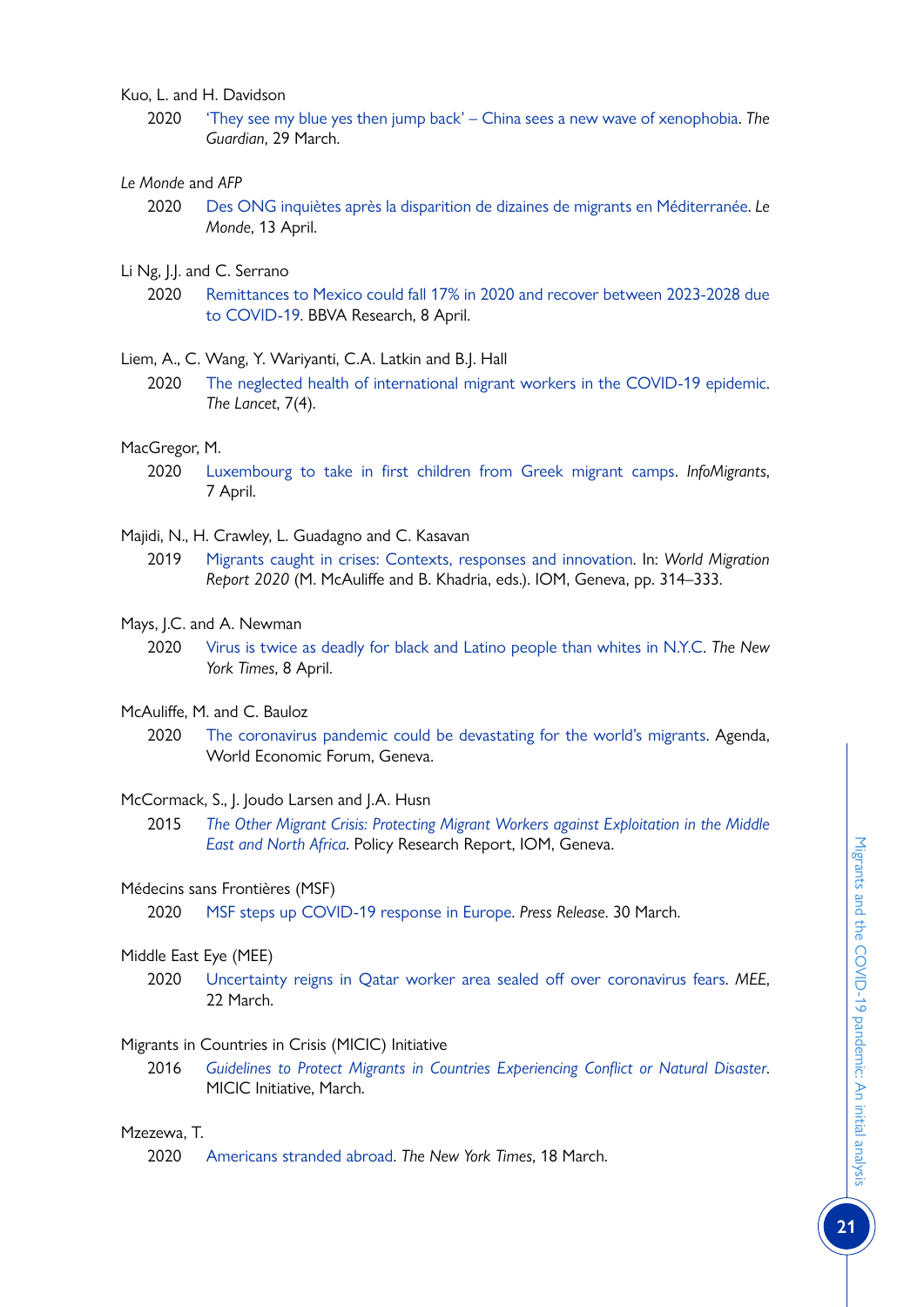Kuo, L. and H. Davidson

2020 ['They see my blue yes then jump back' – China sees a new wave of xenophobia.](http://www.theguardian.com/world/2020/mar/29/china-coronavirus-anti-foreigner-feeling-imported-cases) *The Guardian*, 29 March.

# *Le Monde* and *AFP*

- 2020 [Des ONG inquiètes après la disparition de dizaines de migrants en Méditerranée](https://www.lemonde.fr/international/article/2020/04/13/des-ong-inquietes-apres-la-disparition-de-dizaines-de-migrants-en-mediterranee_6036409_3210.html). *Le Monde*, 13 April.
- Li Ng, J.J. and C. Serrano
	- 2020 [Remittances to Mexico could fall 17% in 2020 and recover between 2023-2028 due](https://www.bbvaresearch.com/en/publicaciones/remittances-to-mexico-could-fall-17-in-2020-and-recover-between-2023-2028-due-to-covid-19) [to COVID-19](https://www.bbvaresearch.com/en/publicaciones/remittances-to-mexico-could-fall-17-in-2020-and-recover-between-2023-2028-due-to-covid-19). BBVA Research, 8 April.

#### Liem, A., C. Wang, Y. Wariyanti, C.A. Latkin and B.J. Hall

2020 [The neglected health of international migrant workers in the COVID-19 epidemic.](http://www.thelancet.com/journals/lanpsy/article/PIIS2215-0366(20)30076-6/fulltext) *The Lancet*, 7(4).

#### MacGregor, M.

2020 [Luxembourg to take in first children from Greek migrant camps.](https://www.infomigrants.net/en/post/23922/luxembourg-to-take-in-first-children-from-greek-migrant-camps) *InfoMigrants*, 7 April.

#### Majidi, N., H. Crawley, L. Guadagno and C. Kasavan

- 2019 [Migrants caught in crises: Contexts, responses and innovation.](https://www.who.int/docs/default-source/coronaviruse/situation-reports/20200224-sitrep-35-covid-19.pdf?sfvrsn=1ac4218d_2) In: *World Migration Report 2020* (M. McAuliffe and B. Khadria, eds.). IOM, Geneva, pp. 314–333.
- Mays, J.C. and A. Newman
	- 2020 [Virus is twice as deadly for black and Latino people than whites in N.Y.C](https://www.nytimes.com/2020/04/08/nyregion/coronavirus-race-deaths.html). *The New York Times*, 8 April.

#### McAuliffe, M. and C. Bauloz

2020 [The coronavirus pandemic could be devastating for the world's migrants](https://www.weforum.org/agenda/2020/04/the-coronavirus-pandemic-could-be-devastating-for-the-worlds-refugees/). Agenda, World Economic Forum, Geneva.

#### McCormack, S., J. Joudo Larsen and J.A. Husn

2015 *[The Other Migrant Crisis: Protecting Migrant Workers against Exploitation in the Middle](https://publications.iom.int/system/files/pdf/other_migrant_crisis.pdf) [East and North Africa](https://publications.iom.int/system/files/pdf/other_migrant_crisis.pdf)*. Policy Research Report, IOM, Geneva.

#### Médecins sans Frontières (MSF)

2020 [MSF steps up COVID-19 response in Europe.](http://www.msf.org/msf-steps-covid-19-response-europe) *Press Release*. 30 March.

#### Middle East Eye (MEE)

2020 [Uncertainty reigns in Qatar worker area sealed off over coronavirus fears.](http://www.middleeasteye.net/news/uncertainty-reigns-qatar-worker-area-sealed-over-coronavirus-fears) *MEE*, 22 March.

# Migrants in Countries in Crisis (MICIC) Initiative

2016 *[Guidelines to Protect Migrants in Countries Experiencing Conflict or Natural Disaster](https://micicinitiative.iom.int/sites/default/files/document/micic_guidelines_english_web_13_09_2016.pdf)*. MICIC Initiative, March.

# Mzezewa, T.

2020 [Americans stranded abroad](https://www.nytimes.com/2020/03/18/travel/coronavirus-americans-stranded.html). *The New York Times*, 18 March.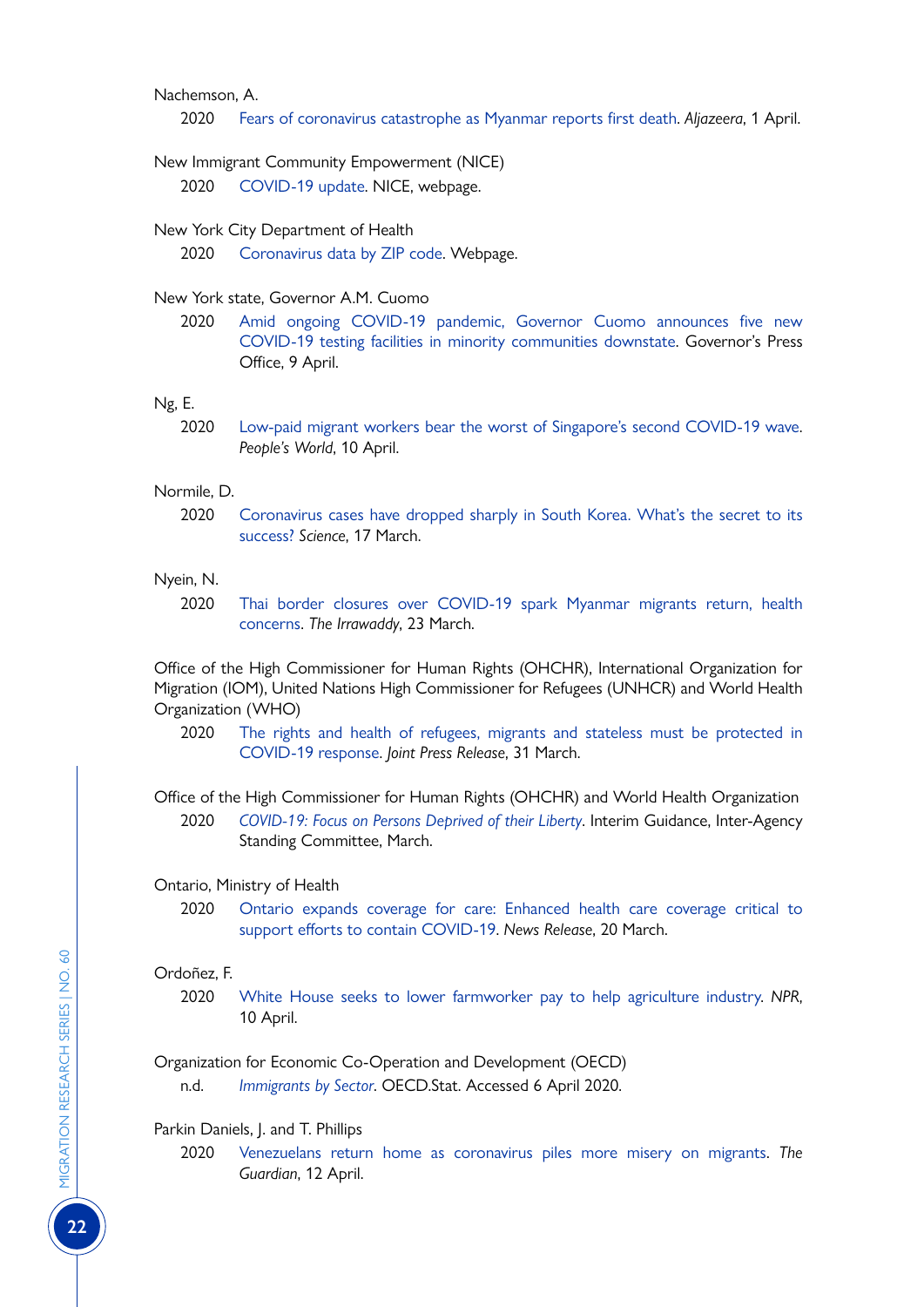#### Nachemson, A.

2020 [Fears of coronavirus catastrophe as Myanmar reports first death](http://www.aljazeera.com/news/2020/04/fears-coronavirus-catastrophe-myanmar-reports-death-200401073723812.html). *Aljazeera*, 1 April.

#### New Immigrant Community Empowerment (NICE)

2020 [COVID-19 update](https://www.nynice.org/). NICE, webpage.

#### New York City Department of Health

2020 [Coronavirus data by ZIP code](https://github.com/nychealth/coronavirus-data/blob/master/tests-by-zcta.csv). Webpage.

# New York state, Governor A.M. Cuomo

2020 [Amid ongoing COVID-19 pandemic, Governor Cuomo announces five new](https://www.governor.ny.gov/news/amid-ongoing-covid-19-pandemic-governor-cuomo-announces-five-new-covid-19-testing-facilities) [COVID-19 testing facilities in minority communities downstate](https://www.governor.ny.gov/news/amid-ongoing-covid-19-pandemic-governor-cuomo-announces-five-new-covid-19-testing-facilities). Governor's Press Office, 9 April.

#### Ng, E.

2020 [Low-paid migrant workers bear the worst of Singapore's second COVID-19 wave](https://www.peoplesworld.org/article/low-paid-migrant-workers-bear-the-worst-of-singapores-second-covid-19-wave/). *People's World*, 10 April.

#### Normile, D.

2020 [Coronavirus cases have dropped sharply in South Korea. What's the secret to its](http://www.sciencemag.org/news/2020/03/coronavirus-cases-have-dropped-sharply-south-korea-whats-secret-its-success) [success?](http://www.sciencemag.org/news/2020/03/coronavirus-cases-have-dropped-sharply-south-korea-whats-secret-its-success) *Science*, 17 March.

#### Nyein, N.

2020 [Thai border closures over COVID-19 spark Myanmar migrants return, health](http://www.irrawaddy.com/news/burma/thai-border-closures-covid-19-spark-myanmar-migrants-return-health-concerns.html) [concerns.](http://www.irrawaddy.com/news/burma/thai-border-closures-covid-19-spark-myanmar-migrants-return-health-concerns.html) *The Irrawaddy*, 23 March.

Office of the High Commissioner for Human Rights (OHCHR), International Organization for Migration (IOM), United Nations High Commissioner for Refugees (UNHCR) and World Health Organization (WHO)

2020 [The rights and health of refugees, migrants and stateless must be protected in](https://www.unhcr.org/news/press/2020/3/5e836f164/rights-health-refugees-migrants-stateless-must-protected-covid-19-response.html) [COVID-19 response](https://www.unhcr.org/news/press/2020/3/5e836f164/rights-health-refugees-migrants-stateless-must-protected-covid-19-response.html). *Joint Press Release*, 31 March.

Office of the High Commissioner for Human Rights (OHCHR) and World Health Organization

2020 *[COVID-19: Focus on Persons Deprived of their Liberty](https://www.iom.int/sites/default/files/our_work/ICP/IML/IML-Information-Note-Immigration-Detention-and-Non-Custodial-Measures.pdf)*. Interim Guidance, Inter-Agency Standing Committee, March.

#### Ontario, Ministry of Health

2020 [Ontario expands coverage for care: Enhanced health care coverage critical to](https://news.ontario.ca/mohltc/en/2020/03/ontario-expands-coverage-for-care.html) [support efforts to contain COVID-19.](https://news.ontario.ca/mohltc/en/2020/03/ontario-expands-coverage-for-care.html) *News Release*, 20 March.

#### Ordoñez, F.

2020 [White House seeks to lower farmworker pay to help agriculture industry](https://www.npr.org/2020/04/10/832076074/white-house-seeks-to-lower-farmworker-pay-to-help-agriculture-industry?t=1586835601647). *NPR*, 10 April.

Organization for Economic Co-Operation and Development (OECD)

n.d. *[Immigrants by Sector](https://stats.oecd.org/Index.aspx?DataSetCode=DIOC_SECTOR)*. OECD.Stat. Accessed 6 April 2020.

# Parkin Daniels, J. and T. Phillips

2020 [Venezuelans return home as coronavirus piles more misery on migrants.](https://www.theguardian.com/world/2020/apr/12/venezuelans-return-home-coronavirus-migrants) *The Guardian*, 12 April.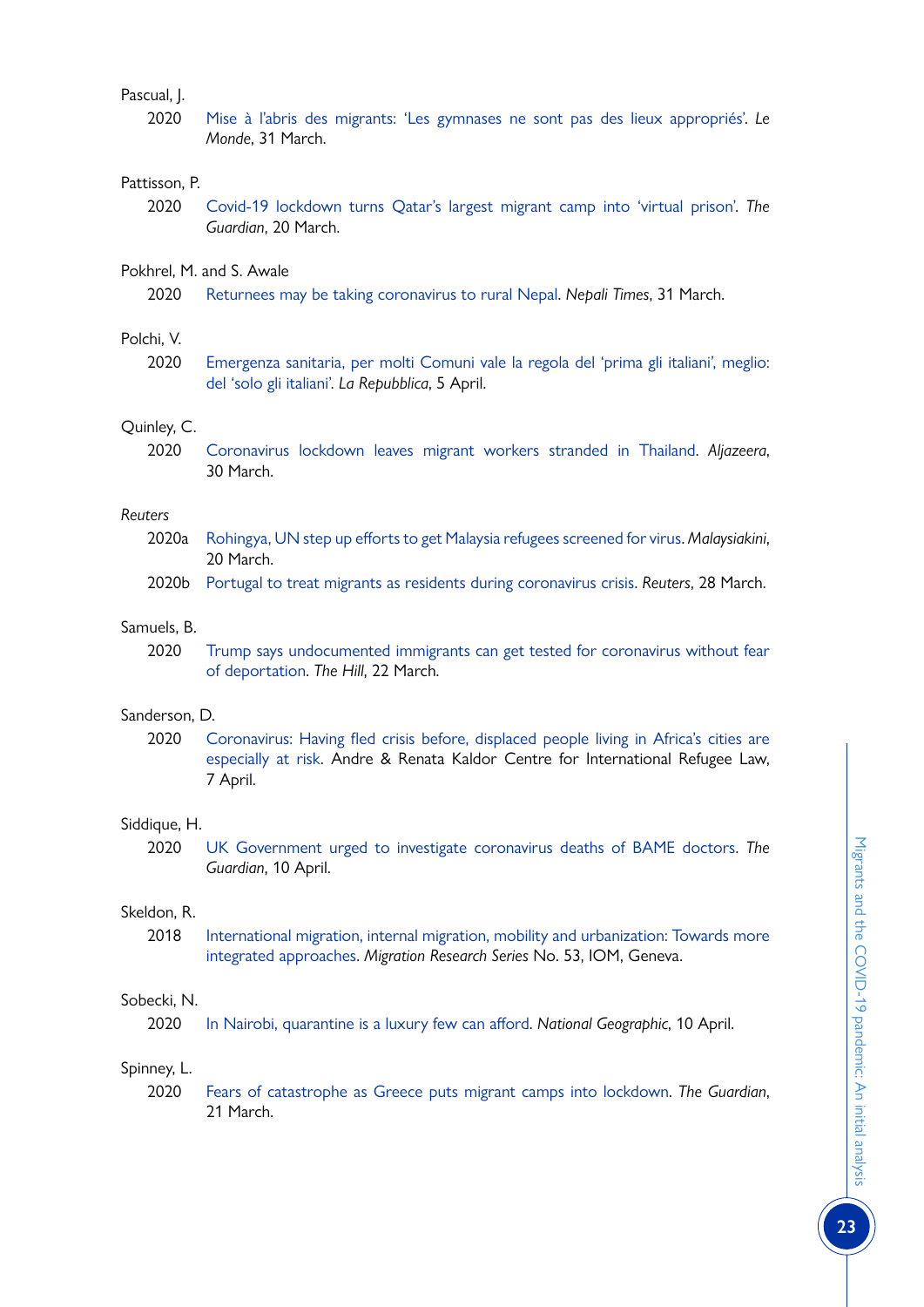# Pascual, J.

2020 [Mise à l'abris des migrants: 'Les gymnases ne sont pas des lieux appropriés'.](http://www.lemonde.fr/societe/article/2020/03/31/mise-a-l-abri-des-migrants-les-gymnases-ne-sont-pas-des-lieux-appropries_6035002_3224.html) *Le Monde*, 31 March.

#### Pattisson, P.

2020 [Covid-19 lockdown turns Qatar's largest migrant camp into 'virtual prison'.](http://www.theguardian.com/global-development/2020/mar/20/covid-19-lockdown-turns-qatars-largest-migrant-camp-into-virtual-prison) *The Guardian*, 20 March.

# Pokhrel, M. and S. Awale

2020 [Returnees may be taking coronavirus to rural Nepal.](file:///C:\Users\lguadagno\AppData\Local\Microsoft\Windows\INetCache\Content.Outlook\JCC3GST8\www.nepalitimes.com\here-now\returnees-may-be-taking-coronavirus-to-rural-nepal\) *Nepali Times*, 31 March.

#### Polchi, V.

2020 [Emergenza sanitaria, per molti Comuni vale la regola del 'prima gli italiani', meglio:](https://www.repubblica.it/solidarieta/immigrazione/2020/04/05/news/immigrati-253197709/) [del 'solo gli italiani'](https://www.repubblica.it/solidarieta/immigrazione/2020/04/05/news/immigrati-253197709/). *La Repubblica*, 5 April.

#### Quinley, C.

2020 [Coronavirus lockdown leaves migrant workers stranded in Thailand](http://www.aljazeera.com/news/2020/03/coronavirus-lockdown-leaves-migrant-workers-stranded-thailand-200328060111830.html). *Aljazeera*, 30 March.

#### *Reuters*

- 2020a [Rohingya, UN step up efforts to get Malaysia refugees screened for virus](http://www.malaysiakini.com/news/515706). *Malaysiakini*, 20 March.
- 2020b [Portugal to treat migrants as residents during coronavirus crisis.](https://uk.reuters.com/article/uk-health-coronavirus-portugal/portugal-to-treat-migrants-as-residents-during-coronavirus-crisis-idUKKBN21F0MC?fbclid=IwAR3djMT5CXhqPnyiH5isFBFYX2GDgV5psWKBXvX07xbN_ywlSyqmQJzgE7E) *Reuters*, 28 March.

#### Samuels, B.

2020 [Trump says undocumented immigrants can get tested for coronavirus without fear](https://thehill.com/homenews/administration/488940-trump-says-undocumented-immigrants-can-get-tested-for-coronavirus) [of deportation](https://thehill.com/homenews/administration/488940-trump-says-undocumented-immigrants-can-get-tested-for-coronavirus). *The Hill*, 22 March.

# Sanderson, D.

2020 [Coronavirus: Having fled crisis before, displaced people living in Africa's cities are](https://www.kaldorcentre.unsw.edu.au/publication/coronavirus-having-fled-crisis-displaced-people-living-africa%E2%80%99s-cities-are-especially) [especially at risk.](https://www.kaldorcentre.unsw.edu.au/publication/coronavirus-having-fled-crisis-displaced-people-living-africa%E2%80%99s-cities-are-especially) Andre & Renata Kaldor Centre for International Refugee Law, 7 April.

#### Siddique, H.

2020 [UK Government urged to investigate coronavirus deaths of BAME doctors](https://www.theguardian.com/society/2020/apr/10/uk-coronavirus-deaths-bame-doctors-bma). *The Guardian*, 10 April.

#### Skeldon, R.

2018 [International migration, internal migration, mobility and urbanization: Towards more](https://publications.iom.int/books/mrs-no-53-international-migration-internal-migration-mobility) [integrated approaches.](https://publications.iom.int/books/mrs-no-53-international-migration-internal-migration-mobility) *Migration Research Series* No. 53, IOM, Geneva.

# Sobecki, N.

2020 [In Nairobi, quarantine is a luxury few can afford](https://www.nationalgeographic.com/history/2020/04/nairobi-coronavirus-quarantine-luxury-few-afford/). *National Geographic*, 10 April.

# Spinney, L.

2020 [Fears of catastrophe as Greece puts migrant camps into lockdown](http://www.theguardian.com/global-development/2020/mar/21/fears-catastrophe-greece-migrant-camps-lockdown-coronavirus). *The Guardian*, 21 March.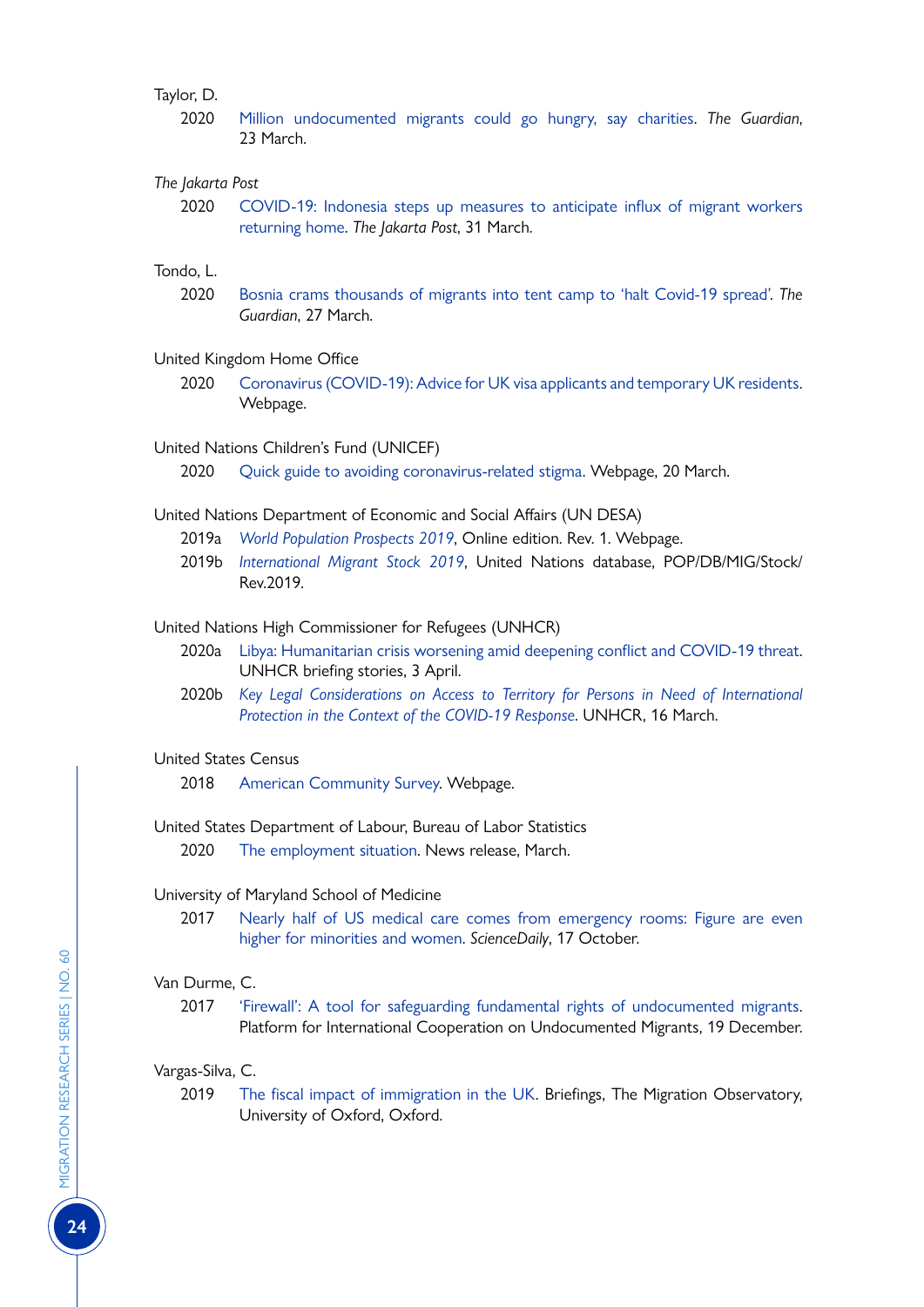#### Taylor, D.

2020 [Million undocumented migrants could go hungry, say charities](http://www.theguardian.com/world/2020/mar/23/million-undocumented-migrants-could-go-hungry-say-charities). *The Guardian*, 23 March.

#### *The Jakarta Post*

2020 [COVID-19: Indonesia steps up measures to anticipate influx of migrant workers](http://www.thejakartapost.com/news/2020/03/31/covid-19-indonesia-steps-up-measures-to-anticipate-influx-of-migrant-workers-returning-home.html) [returning home](http://www.thejakartapost.com/news/2020/03/31/covid-19-indonesia-steps-up-measures-to-anticipate-influx-of-migrant-workers-returning-home.html). *The Jakarta Post*, 31 March.

# Tondo, L.

2020 [Bosnia crams thousands of migrants into tent camp to 'halt Covid-19 spread'](http://www.theguardian.com/global-development/2020/mar/27/bosnia-crams-thousands-of-migrants-into-tent-camp-to-halt-covid-19-spread). *The Guardian*, 27 March.

#### United Kingdom Home Office

2020 [Coronavirus \(COVID-19\): Advice for UK visa applicants and temporary UK residents](http://www.gov.uk/guidance/coronavirus-covid-19-advice-for-uk-visa-applicants-and-temporary-uk-residents#helpline). Webpage.

#### United Nations Children's Fund (UNICEF)

2020 [Quick guide to avoiding coronavirus-related stigma](http://www.unicef.org/wca/guide-against-coronavirus-stigma). Webpage, 20 March.

- United Nations Department of Economic and Social Affairs (UN DESA)
	- 2019a *[World Population Prospects 2019](https://population.un.org/wpp/)*, Online edition. Rev. 1. Webpage.
	- 2019b *[International Migrant Stock 2019](https://population.un.org/wpp/)*, United Nations database, POP/DB/MIG/Stock/ Rev.2019.

United Nations High Commissioner for Refugees (UNHCR)

- 2020a [Libya: Humanitarian crisis worsening amid deepening conflict and COVID-19 threat](https://www.unhcr.org/news/briefing/2020/4/5e86f2cc4/libya-humanitarian-crisis-worsening-amid-deepening-conflict-covid-19-threat.html). UNHCR briefing stories, 3 April.
- 2020b *[Key Legal Considerations on Access to Territory for Persons in Need of International](http://www.refworld.org/docid/5e7132834.html) [Protection in the Context of the COVID-19 Response](http://www.refworld.org/docid/5e7132834.html)*. UNHCR, 16 March.

#### United States Census

2018 [American Community Survey.](https://www.census.gov/programs-surveys/acs) Webpage.

#### United States Department of Labour, Bureau of Labor Statistics

2020 [The employment situation.](https://www.bls.gov/news.release/pdf/empsit.pdf) News release, March.

#### University of Maryland School of Medicine

2017 [Nearly half of US medical care comes from emergency rooms: Figure are even](https://www.sciencedaily.com/releases/2017/10/171017091849.htm) [higher for minorities and women.](https://www.sciencedaily.com/releases/2017/10/171017091849.htm) *ScienceDaily*, 17 October.

# Van Durme, C.

2017 ['Firewall': A tool for safeguarding fundamental rights of undocumented migrants](https://picum.org/firewall-tool-safeguarding-fundamental-rights-undocumented-migrants/). Platform for International Cooperation on Undocumented Migrants, 19 December.

#### Vargas-Silva, C.

2019 [The fiscal impact of immigration in the UK](https://migrationobservatory.ox.ac.uk/resources/briefings/the-fiscal-impact-of-immigration-in-the-uk/). Briefings, The Migration Observatory, University of Oxford, Oxford.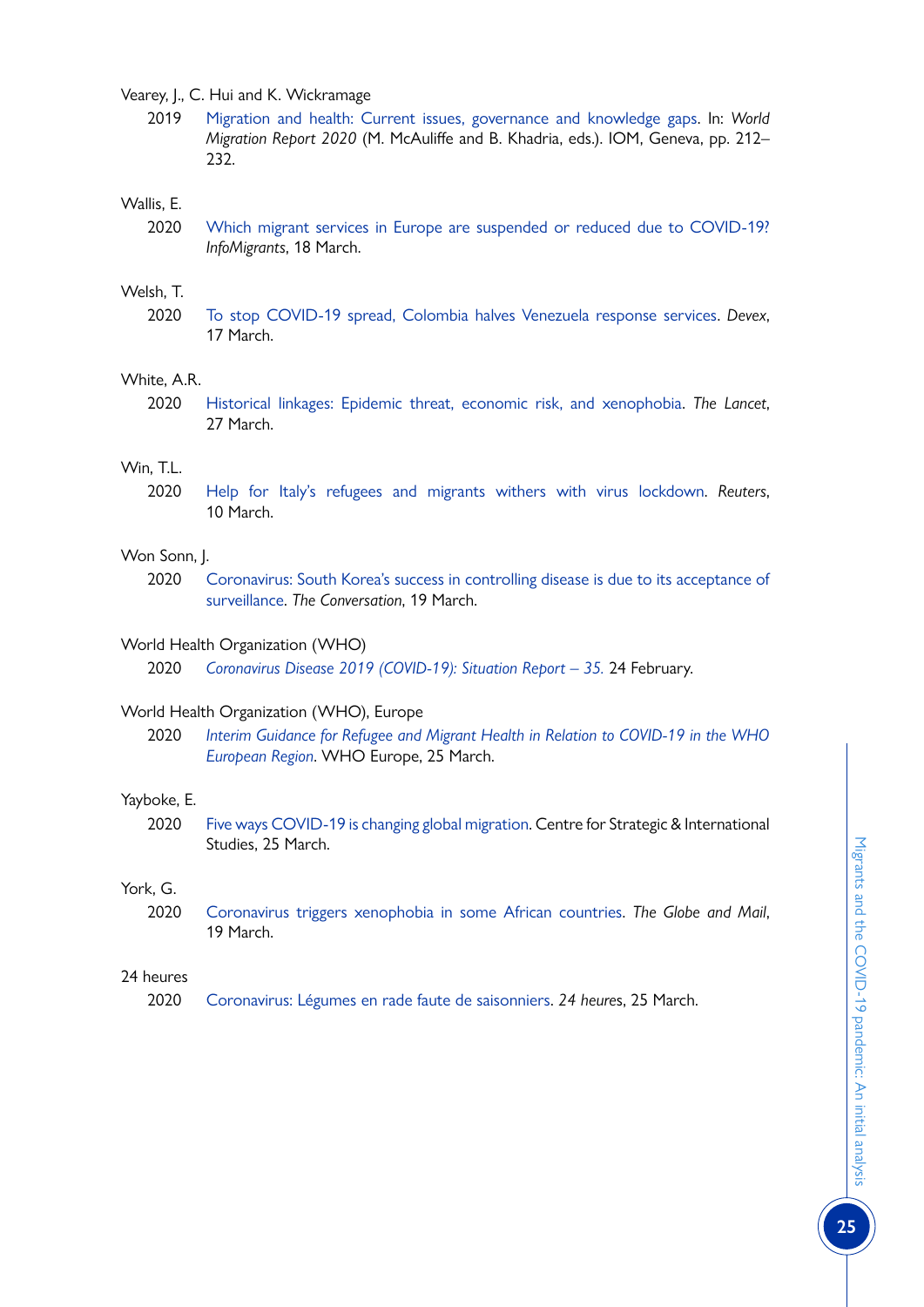Vearey, J., C. Hui and K. Wickramage

2019 [Migration and health: Current issues, governance and knowledge gaps.](https://publications.iom.int/books/world-migration-report-2020-chapter-7) In: *World Migration Report 2020* (M. McAuliffe and B. Khadria, eds.). IOM, Geneva, pp. 212– 232.

#### Wallis, E.

2020 [Which migrant services in Europe are suspended or reduced due to COVID-19?](http://www.infomigrants.net/en/post/23524/which-migrant-services-in-europe-are-suspended-or-reduced-due-to-covid-19) *InfoMigrants*, 18 March.

#### Welsh, T.

2020 [To stop COVID-19 spread, Colombia halves Venezuela response services](http://www.devex.com/news/to-stop-covid-19-spread-colombia-halves-venezuela-response-services-96780). *Devex*, 17 March.

#### White, A.R.

2020 [Historical linkages: Epidemic threat, economic risk, and xenophobia.](https://www.thelancet.com/journals/lancet/article/PIIS0140-6736(20)30737-6/fulltext) *The Lancet*, 27 March.

# Win, T.L.

2020 [Help for Italy's refugees and migrants withers with virus lockdown.](http://www.reuters.com/article/us-health-coronavirus-italy-refugees/help-for-italys-refugees-and-migrants-withers-with-virus-lockdown-idUSKBN20X2FG) *Reuters*, 10 March.

#### Won Sonn, J.

2020 [Coronavirus: South Korea's success in controlling disease is due to its acceptance of](https://theconversation.com/coronavirus-south-koreas-success-in-controlling-disease-is-due-to-its-acceptance-of-surveillance-134068) [surveillance](https://theconversation.com/coronavirus-south-koreas-success-in-controlling-disease-is-due-to-its-acceptance-of-surveillance-134068). *The Conversation*, 19 March.

#### World Health Organization (WHO)

2020 *[Coronavirus Disease 2019 \(COVID-19\): Situation Report – 35](https://www.who.int/docs/default-source/coronaviruse/situation-reports/20200224-sitrep-35-covid-19.pdf?sfvrsn=1ac4218d_2).* 24 February.

# World Health Organization (WHO), Europe

2020 *[Interim Guidance for Refugee and Migrant Health in Relation to COVID-19 in the WHO](http://www.euro.who.int/__data/assets/pdf_file/0008/434978/Interim-guidance-refugee-and-migrant-health-COVID-19.pdf?ua=1) [European Region](http://www.euro.who.int/__data/assets/pdf_file/0008/434978/Interim-guidance-refugee-and-migrant-health-COVID-19.pdf?ua=1)*. WHO Europe, 25 March.

#### Yayboke, E.

2020 [Five ways COVID-19 is changing global migration.](http://www.csis.org/analysis/five-ways-covid-19-changing-global-migration) Centre for Strategic & International Studies, 25 March.

#### York, G.

2020 [Coronavirus triggers xenophobia in some African countries](http://www.theglobeandmail.com/world/article-coronavirus-triggers-xenophobia-in-some-african-countries/). *The Globe and Mail*, 19 March.

#### 24 heures

2020 [Coronavirus: Légumes en rade faute de saisonniers.](https://www.24heures.ch/monde/coronavirus-legumes-rade-saisonniers/story/18296773) *24 heure*s, 25 March.